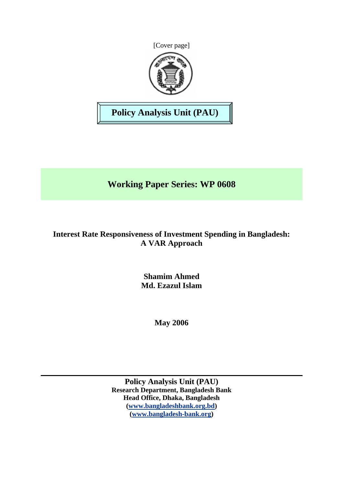



**Policy Analysis Unit (PAU)** 

# **Working Paper Series: WP 0608**

# **Interest Rate Responsiveness of Investment Spending in Bangladesh: A VAR Approach**

**Shamim Ahmed Md. Ezazul Islam** 

**May 2006** 

**Policy Analysis Unit (PAU) Research Department, Bangladesh Bank Head Office, Dhaka, Bangladesh ([www.bangladeshbank.org.bd](http://www.bangladeshbank.org.bd/)) ([www.bangladesh-bank.org](http://www.bangladesh-bank.org/))**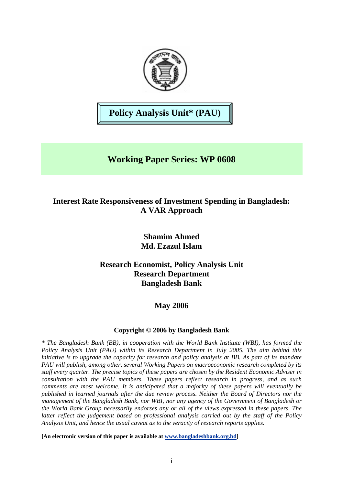

**Policy Analysis Unit\* (PAU)** 

# **Working Paper Series: WP 0608**

# **Interest Rate Responsiveness of Investment Spending in Bangladesh: A VAR Approach**

## **Shamim Ahmed Md. Ezazul Islam**

## **Research Economist, Policy Analysis Unit Research Department Bangladesh Bank**

# **May 2006**

## **Copyright © 2006 by Bangladesh Bank**

*\* The Bangladesh Bank (BB), in cooperation with the World Bank Institute (WBI), has formed the Policy Analysis Unit (PAU) within its Research Department in July 2005. The aim behind this initiative is to upgrade the capacity for research and policy analysis at BB. As part of its mandate PAU will publish, among other, several Working Papers on macroeconomic research completed by its staff every quarter. The precise topics of these papers are chosen by the Resident Economic Adviser in consultation with the PAU members. These papers reflect research in progress, and as such comments are most welcome. It is anticipated that a majority of these papers will eventually be published in learned journals after the due review process. Neither the Board of Directors nor the management of the Bangladesh Bank, nor WBI, nor any agency of the Government of Bangladesh or the World Bank Group necessarily endorses any or all of the views expressed in these papers. The latter reflect the judgement based on professional analysis carried out by the staff of the Policy Analysis Unit, and hence the usual caveat as to the veracity of research reports applies.*

**[An electronic version of this paper is available at [www.bangladeshbank.org.bd](http://www.bangladeshbank.org.bd/research/pau.html)]**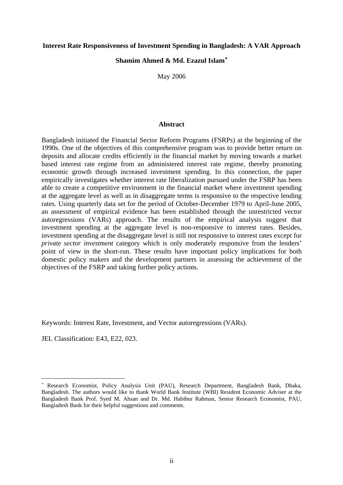#### **Interest Rate Responsiveness of Investment Spending in Bangladesh: A VAR Approach**

## **Shamim Ahmed & Md. Ezazul Islam**[∗](#page-2-0)

May 2006

#### **Abstract**

Bangladesh initiated the Financial Sector Reform Programs (FSRPs) at the beginning of the 1990s. One of the objectives of this comprehensive program was to provide better return on deposits and allocate credits efficiently in the financial market by moving towards a market based interest rate regime from an administered interest rate regime, thereby promoting economic growth through increased investment spending. In this connection, the paper empirically investigates whether interest rate liberalization pursued under the FSRP has been able to create a competitive environment in the financial market where investment spending at the aggregate level as well as in disaggregate terms is responsive to the respective lending rates. Using quarterly data set for the period of October-December 1979 to April-June 2005, an assessment of empirical evidence has been established through the unrestricted vector autoregressions (VARs) approach. The results of the empirical analysis suggest that investment spending at the aggregate level is non-responsive to interest rates. Besides, investment spending at the disaggregate level is still not responsive to interest rates except for *private sector investment* category which is only moderately responsive from the lenders' point of view in the short-run. These results have important policy implications for both domestic policy makers and the development partners in assessing the achievement of the objectives of the FSRP and taking further policy actions.

Keywords: Interest Rate, Investment, and Vector autoregressions (VARs).

JEL Classification: E43, E22, 023.

 $\overline{a}$ 

<span id="page-2-0"></span><sup>∗</sup> Research Economist, Policy Analysis Unit (PAU), Research Department, Bangladesh Bank, Dhaka, Bangladesh. The authors would like to thank World Bank Institute (WBI) Resident Economic Adviser at the Bangladesh Bank Prof. Syed M. Ahsan and Dr. Md. Habibur Rahman, Senior Research Economist, PAU, Bangladesh Bank for their helpful suggestions and comments.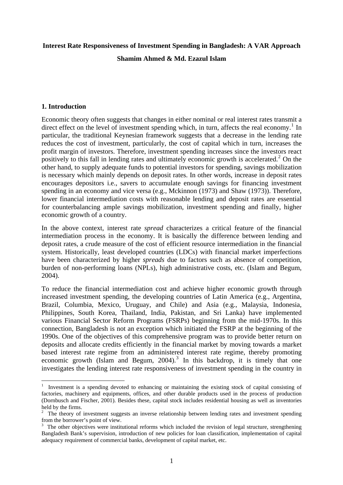#### **Interest Rate Responsiveness of Investment Spending in Bangladesh: A VAR Approach**

#### **Shamim Ahmed & Md. Ezazul Islam**

#### **1. Introduction**

 $\overline{a}$ 

Economic theory often suggests that changes in either nominal or real interest rates transmit a direct effect on the level of investment spending which, in turn, affects the real economy.<sup>[1](#page-3-0)</sup> In particular, the traditional Keynesian framework suggests that a decrease in the lending rate reduces the cost of investment, particularly, the cost of capital which in turn, increases the profit margin of investors. Therefore, investment spending increases since the investors react positively to this fall in lending rates and ultimately economic growth is accelerated. $2$  On the other hand, to supply adequate funds to potential investors for spending, savings mobilization is necessary which mainly depends on deposit rates. In other words, increase in deposit rates encourages depositors i.e., savers to accumulate enough savings for financing investment spending in an economy and vice versa (e.g., Mckinnon (1973) and Shaw (1973)). Therefore, lower financial intermediation costs with reasonable lending and deposit rates are essential for counterbalancing ample savings mobilization, investment spending and finally, higher economic growth of a country.

In the above context, interest rate *spread* characterizes a critical feature of the financial intermediation process in the economy. It is basically the difference between lending and deposit rates, a crude measure of the cost of efficient resource intermediation in the financial system. Historically, least developed countries (LDCs) with financial market imperfections have been characterized by higher *spreads* due to factors such as absence of competition, burden of non-performing loans (NPLs), high administrative costs, etc. (Islam and Begum, 2004).

To reduce the financial intermediation cost and achieve higher economic growth through increased investment spending, the developing countries of Latin America (e.g., Argentina, Brazil, Columbia, Mexico, Uruguay, and Chile) and Asia (e.g., Malaysia, Indonesia, Philippines, South Korea, Thailand, India, Pakistan, and Sri Lanka) have implemented various Financial Sector Reform Programs (FSRPs) beginning from the mid-1970s. In this connection, Bangladesh is not an exception which initiated the FSRP at the beginning of the 1990s. One of the objectives of this comprehensive program was to provide better return on deposits and allocate credits efficiently in the financial market by moving towards a market based interest rate regime from an administered interest rate regime, thereby promoting economic growth (Islam and Begum,  $2004$ ).<sup>[3](#page-3-2)</sup> In this backdrop, it is timely that one investigates the lending interest rate responsiveness of investment spending in the country in

<span id="page-3-0"></span><sup>&</sup>lt;sup>1</sup> Investment is a spending devoted to enhancing or maintaining the existing stock of capital consisting of factories, machinery and equipments, offices, and other durable products used in the process of production (Dornbusch and Fischer, 2001). Besides these, capital stock includes residential housing as well as inventories held by the firms.

<span id="page-3-1"></span> $2\degree$  The theory of investment suggests an inverse relationship between lending rates and investment spending from the borrower's point of view.

<span id="page-3-2"></span> $3$  The other objectives were institutional reforms which included the revision of legal structure, strengthening Bangladesh Bank's supervision, introduction of new policies for loan classification, implementation of capital adequacy requirement of commercial banks, development of capital market, etc.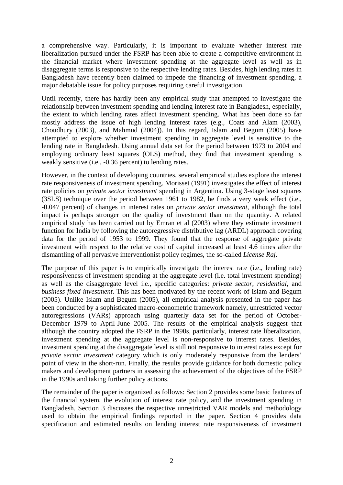a comprehensive way. Particularly, it is important to evaluate whether interest rate liberalization pursued under the FSRP has been able to create a competitive environment in the financial market where investment spending at the aggregate level as well as in disaggregate terms is responsive to the respective lending rates. Besides, high lending rates in Bangladesh have recently been claimed to impede the financing of investment spending, a major debatable issue for policy purposes requiring careful investigation.

Until recently, there has hardly been any empirical study that attempted to investigate the relationship between investment spending and lending interest rate in Bangladesh, especially, the extent to which lending rates affect investment spending. What has been done so far mostly address the issue of high lending interest rates (e.g., Coats and Alam (2003), Choudhury (2003), and Mahmud (2004)). In this regard, Islam and Begum (2005) have attempted to explore whether investment spending in aggregate level is sensitive to the lending rate in Bangladesh. Using annual data set for the period between 1973 to 2004 and employing ordinary least squares (OLS) method, they find that investment spending is weakly sensitive (i.e., -0.36 percent) to lending rates.

However, in the context of developing countries, several empirical studies explore the interest rate responsiveness of investment spending. Morisset (1991) investigates the effect of interest rate policies on *private sector investment* spending in Argentina. Using 3-stage least squares (3SLS) technique over the period between 1961 to 1982, he finds a very weak effect (i.e., -0.047 percent) of changes in interest rates on *private sector investment*, although the total impact is perhaps stronger on the quality of investment than on the quantity. A related empirical study has been carried out by Emran et al (2003) where they estimate investment function for India by following the autoregressive distributive lag (ARDL) approach covering data for the period of 1953 to 1999. They found that the response of aggregate private investment with respect to the relative cost of capital increased at least 4.6 times after the dismantling of all pervasive interventionist policy regimes, the so-called *License Raj*.

The purpose of this paper is to empirically investigate the interest rate (i.e., lending rate) responsiveness of investment spending at the aggregate level (i.e. total investment spending) as well as the disaggregate level i.e., specific categories: *private sector*, *residential*, and *business fixed investment*. This has been motivated by the recent work of Islam and Begum (2005). Unlike Islam and Begum (2005), all empirical analysis presented in the paper has been conducted by a sophisticated macro-econometric framework namely, unrestricted vector autoregressions (VARs) approach using quarterly data set for the period of October-December 1979 to April-June 2005. The results of the empirical analysis suggest that although the country adopted the FSRP in the 1990s, particularly, interest rate liberalization, investment spending at the aggregate level is non-responsive to interest rates. Besides, investment spending at the disaggregate level is still not responsive to interest rates except for *private sector investment* category which is only moderately responsive from the lenders' point of view in the short-run. Finally, the results provide guidance for both domestic policy makers and development partners in assessing the achievement of the objectives of the FSRP in the 1990s and taking further policy actions.

The remainder of the paper is organized as follows: Section 2 provides some basic features of the financial system, the evolution of interest rate policy, and the investment spending in Bangladesh. Section 3 discusses the respective unrestricted VAR models and methodology used to obtain the empirical findings reported in the paper. Section 4 provides data specification and estimated results on lending interest rate responsiveness of investment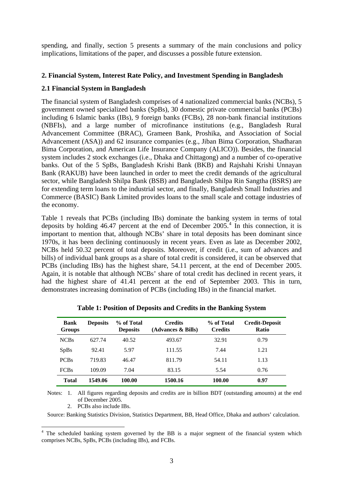spending, and finally, section 5 presents a summary of the main conclusions and policy implications, limitations of the paper, and discusses a possible future extension.

#### **2. Financial System, Interest Rate Policy, and Investment Spending in Bangladesh**

#### **2.1 Financial System in Bangladesh**

The financial system of Bangladesh comprises of 4 nationalized commercial banks (NCBs), 5 government owned specialized banks (SpBs), 30 domestic private commercial banks (PCBs) including 6 Islamic banks (IBs), 9 foreign banks (FCBs), 28 non-bank financial institutions (NBFIs), and a large number of microfinance institutions (e.g., Bangladesh Rural Advancement Committee (BRAC), Grameen Bank, Proshika, and Association of Social Advancement (ASA)) and 62 insurance companies (e.g., Jiban Bima Corporation, Shadharan Bima Corporation, and American Life Insurance Company (ALICO)). Besides, the financial system includes 2 stock exchanges (i.e., Dhaka and Chittagong) and a number of co-operative banks. Out of the 5 SpBs, Bangladesh Krishi Bank (BKB) and Rajshahi Krishi Unnayan Bank (RAKUB) have been launched in order to meet the credit demands of the agricultural sector, while Bangladesh Shilpa Bank (BSB) and Bangladesh Shilpa Rin Sangtha (BSRS) are for extending term loans to the industrial sector, and finally, Bangladesh Small Industries and Commerce (BASIC) Bank Limited provides loans to the small scale and cottage industries of the economy.

Table 1 reveals that PCBs (including IBs) dominate the banking system in terms of total deposits by holding  $46.47$  $46.47$  percent at the end of December  $2005$ <sup>4</sup>. In this connection, it is important to mention that, although NCBs' share in total deposits has been dominant since 1970s, it has been declining continuously in recent years. Even as late as December 2002, NCBs held 50.32 percent of total deposits. Moreover, if credit (i.e., sum of advances and bills) of individual bank groups as a share of total credit is considered, it can be observed that PCBs (including IBs) has the highest share, 54.11 percent, at the end of December 2005. Again, it is notable that although NCBs' share of total credit has declined in recent years, it had the highest share of 41.41 percent at the end of September 2003. This in turn, demonstrates increasing domination of PCBs (including IBs) in the financial market.

| Bank<br><b>Groups</b> | <b>Deposits</b> | % of Total<br><b>Deposits</b> | <b>Credits</b><br>(Advances & Bills) | % of Total<br><b>Credits</b> | <b>Credit-Deposit</b><br><b>Ratio</b> |
|-----------------------|-----------------|-------------------------------|--------------------------------------|------------------------------|---------------------------------------|
| <b>NCBs</b>           | 627.74          | 40.52                         | 493.67                               | 32.91                        | 0.79                                  |
| <b>SpBs</b>           | 92.41           | 5.97                          | 111.55                               | 7.44                         | 1.21                                  |
| <b>PCBs</b>           | 719.83          | 46.47                         | 811.79                               | 54.11                        | 1.13                                  |
| <b>FCBs</b>           | 109.09          | 7.04                          | 83.15                                | 5.54                         | 0.76                                  |
| Total                 | 1549.06         | 100.00                        | 1500.16                              | 100.00                       | 0.97                                  |

| Table 1: Position of Deposits and Credits in the Banking System |  |  |
|-----------------------------------------------------------------|--|--|

 Notes: 1. All figures regarding deposits and credits are in billion BDT (outstanding amounts) at the end of December 2005.

2. PCBs also include IBs.

Source: Banking Statistics Division, Statistics Department, BB, Head Office, Dhaka and authors' calculation.

<span id="page-5-0"></span> $\frac{1}{4}$  The scheduled banking system governed by the BB is a major segment of the financial system which comprises NCBs, SpBs, PCBs (including IBs), and FCBs.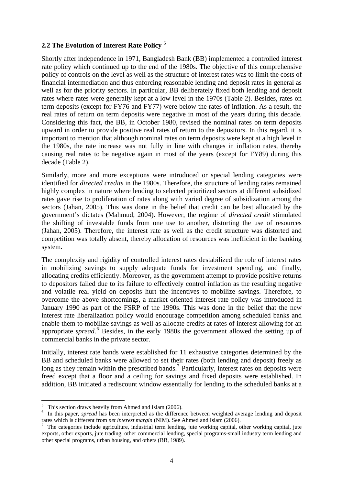## **2.2 The Evolution of Interest Rate Policy** [5](#page-6-0)

Shortly after independence in 1971, Bangladesh Bank (BB) implemented a controlled interest rate policy which continued up to the end of the 1980s. The objective of this comprehensive policy of controls on the level as well as the structure of interest rates was to limit the costs of financial intermediation and thus enforcing reasonable lending and deposit rates in general as well as for the priority sectors. In particular, BB deliberately fixed both lending and deposit rates where rates were generally kept at a low level in the 1970s (Table 2). Besides, rates on term deposits (except for FY76 and FY77) were below the rates of inflation. As a result, the real rates of return on term deposits were negative in most of the years during this decade. Considering this fact, the BB, in October 1980, revised the nominal rates on term deposits upward in order to provide positive real rates of return to the depositors. In this regard, it is important to mention that although nominal rates on term deposits were kept at a high level in the 1980s, the rate increase was not fully in line with changes in inflation rates, thereby causing real rates to be negative again in most of the years (except for FY89) during this decade (Table 2).

Similarly, more and more exceptions were introduced or special lending categories were identified for *directed credits* in the 1980s. Therefore, the structure of lending rates remained highly complex in nature where lending to selected prioritized sectors at different subsidized rates gave rise to proliferation of rates along with varied degree of subsidization among the sectors (Jahan, 2005). This was done in the belief that credit can be best allocated by the government's dictates (Mahmud, 2004). However, the regime of *directed credit* stimulated the shifting of investable funds from one use to another, distorting the use of resources (Jahan, 2005). Therefore, the interest rate as well as the credit structure was distorted and competition was totally absent, thereby allocation of resources was inefficient in the banking system.

The complexity and rigidity of controlled interest rates destabilized the role of interest rates in mobilizing savings to supply adequate funds for investment spending, and finally, allocating credits efficiently. Moreover, as the government attempt to provide positive returns to depositors failed due to its failure to effectively control inflation as the resulting negative and volatile real yield on deposits hurt the incentives to mobilize savings. Therefore, to overcome the above shortcomings, a market oriented interest rate policy was introduced in January 1990 as part of the FSRP of the 1990s. This was done in the belief that the new interest rate liberalization policy would encourage competition among scheduled banks and enable them to mobilize savings as well as allocate credits at rates of interest allowing for an appropriate *spread*.<sup>[6](#page-6-1)</sup> Besides, in the early 1980s the government allowed the setting up of commercial banks in the private sector.

Initially, interest rate bands were established for 11 exhaustive categories determined by the BB and scheduled banks were allowed to set their rates (both lending and deposit) freely as long as they remain within the prescribed bands.<sup>[7](#page-6-2)</sup> Particularly, interest rates on deposits were freed except that a floor and a ceiling for savings and fixed deposits were established. In addition, BB initiated a rediscount window essentially for lending to the scheduled banks at a

 $\overline{a}$ 

<span id="page-6-0"></span><sup>&</sup>lt;sup>5</sup> This section draws heavily from Ahmed and Islam (2006).

<span id="page-6-1"></span><sup>&</sup>lt;sup>6</sup> In this paper, *spread* has been interpreted as the difference between weighted average lending and deposit rates which is different from *net interest margin* (NIM). See Ahmed and Islam (2006).

<span id="page-6-2"></span>The categories include agriculture, industrial term lending, jute working capital, other working capital, jute exports, other exports, jute trading, other commercial lending, special programs-small industry term lending and other special programs, urban housing, and others (BB, 1989).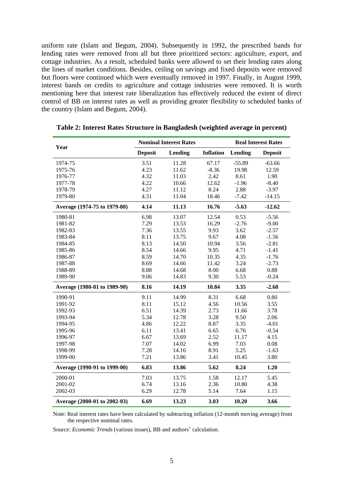uniform rate (Islam and Begum, 2004). Subsequently in 1992, the prescribed bands for lending rates were removed from all but three prioritized sectors: agriculture, export, and cottage industries. As a result, scheduled banks were allowed to set their lending rates along the lines of market conditions. Besides, ceiling on savings and fixed deposits were removed but floors were continued which were eventually removed in 1997. Finally, in August 1999, interest bands on credits to agriculture and cottage industries were removed. It is worth mentioning here that interest rate liberalization has effectively reduced the extent of direct control of BB on interest rates as well as providing greater flexibility to scheduled banks of the country (Islam and Begum, 2004).

| Year                         |                | <b>Nominal Interest Rates</b> |                  |          | <b>Real Interest Rates</b> |
|------------------------------|----------------|-------------------------------|------------------|----------|----------------------------|
|                              | <b>Deposit</b> | <b>Lending</b>                | <b>Inflation</b> | Lending  | <b>Deposit</b>             |
| 1974-75                      | 3.51           | 11.28                         | 67.17            | $-55.89$ | $-63.66$                   |
| 1975-76                      | 4.23           | 11.62                         | $-8.36$          | 19.98    | 12.59                      |
| 1976-77                      | 4.32           | 11.03                         | 2.42             | 8.61     | 1.90                       |
| 1977-78                      | 4.22           | 10.66                         | 12.62            | $-1.96$  | $-8.40$                    |
| 1978-79                      | 4.27           | 11.12                         | 8.24             | 2.88     | $-3.97$                    |
| 1979-80                      | 4.31           | 11.04                         | 18.46            | $-7.42$  | $-14.15$                   |
| Average (1974-75 to 1979-80) | 4.14           | 11.13                         | 16.76            | $-5.63$  | $-12.62$                   |
| 1980-81                      | 6.98           | 13.07                         | 12.54            | 0.53     | $-5.56$                    |
| 1981-82                      | 7.29           | 13.53                         | 16.29            | $-2.76$  | $-9.00$                    |
| 1982-83                      | 7.36           | 13.55                         | 9.93             | 3.62     | $-2.57$                    |
| 1983-84                      | 8.11           | 13.75                         | 9.67             | 4.08     | $-1.56$                    |
| 1984-85                      | 8.13           | 14.50                         | 10.94            | 3.56     | $-2.81$                    |
| 1985-86                      | 8.54           | 14.66                         | 9.95             | 4.71     | $-1.41$                    |
| 1986-87                      | 8.59           | 14.70                         | 10.35            | 4.35     | $-1.76$                    |
| 1987-88                      | 8.69           | 14.66                         | 11.42            | 3.24     | $-2.73$                    |
| 1988-89                      | 8.88           | 14.68                         | 8.00             | 6.68     | 0.88                       |
| 1989-90                      | 9.06           | 14.83                         | 9.30             | 5.53     | $-0.24$                    |
| Average (1980-81 to 1989-90) | 8.16           | 14.19                         | 10.84            | 3.35     | $-2.68$                    |
| 1990-91                      | 9.11           | 14.99                         | 8.31             | 6.68     | 0.80                       |
| 1991-92                      | 8.11           | 15.12                         | 4.56             | 10.56    | 3.55                       |
| 1992-93                      | 6.51           | 14.39                         | 2.73             | 11.66    | 3.78                       |
| 1993-94                      | 5.34           | 12.78                         | 3.28             | 9.50     | 2.06                       |
| 1994-95                      | 4.86           | 12.22                         | 8.87             | 3.35     | $-4.01$                    |
| 1995-96                      | 6.11           | 13.41                         | 6.65             | 6.76     | $-0.54$                    |
| 1996-97                      | 6.67           | 13.69                         | 2.52             | 11.17    | 4.15                       |
| 1997-98                      | 7.07           | 14.02                         | 6.99             | 7.03     | 0.08                       |
| 1998-99                      | 7.28           | 14.16                         | 8.91             | 5.25     | $-1.63$                    |
| 1999-00                      | 7.21           | 13.86                         | 3.41             | 10.45    | 3.80                       |
| Average (1990-91 to 1999-00) | 6.83           | 13.86                         | 5.62             | 8.24     | 1.20                       |
| 2000-01                      | 7.03           | 13.75                         | 1.58             | 12.17    | 5.45                       |
| 2001-02                      | 6.74           | 13.16                         | 2.36             | 10.80    | 4.38                       |
| 2002-03                      | 6.29           | 12.78                         | 5.14             | 7.64     | 1.15                       |
| Average (2000-01 to 2002-03) | 6.69           | 13.23                         | 3.03             | 10.20    | 3.66                       |

**Table 2: Interest Rates Structure in Bangladesh (weighted average in percent)** 

 Note: Real interest rates have been calculated by subtracting inflation (12-month moving average) from the respective nominal rates.

Source: *Economic Trends* (various issues), BB and authors' calculation.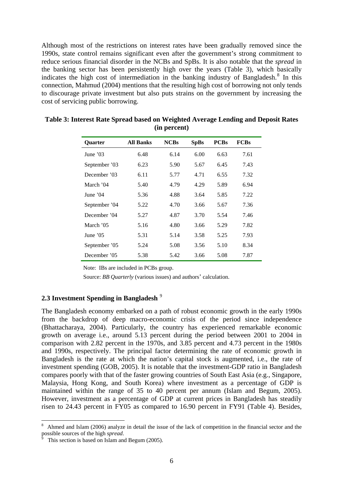Although most of the restrictions on interest rates have been gradually removed since the 1990s, state control remains significant even after the government's strong commitment to reduce serious financial disorder in the NCBs and SpBs. It is also notable that the *spread* in the banking sector has been persistently high over the years (Table 3), which basically indicates the high cost of intermediation in the banking industry of Bangladesh.<sup>[8](#page-8-0)</sup> In this connection, Mahmud (2004) mentions that the resulting high cost of borrowing not only tends to discourage private investment but also puts strains on the government by increasing the cost of servicing public borrowing.

| <b>Ouarter</b> | <b>All Banks</b> | <b>NCBs</b> | <b>SpBs</b> | <b>PCBs</b> | <b>FCBs</b> |
|----------------|------------------|-------------|-------------|-------------|-------------|
| June $'03$     | 6.48             | 6.14        | 6.00        | 6.63        | 7.61        |
| September '03  | 6.23             | 5.90        | 5.67        | 6.45        | 7.43        |
| December '03   | 6.11             | 5.77        | 4.71        | 6.55        | 7.32        |
| March '04      | 5.40             | 4.79        | 4.29        | 5.89        | 6.94        |
| June $'04$     | 5.36             | 4.88        | 3.64        | 5.85        | 7.22        |
| September '04  | 5.22             | 4.70        | 3.66        | 5.67        | 7.36        |
| December '04   | 5.27             | 4.87        | 3.70        | 5.54        | 7.46        |
| March '05      | 5.16             | 4.80        | 3.66        | 5.29        | 7.82        |
| June $'05$     | 5.31             | 5.14        | 3.58        | 5.25        | 7.93        |
| September '05  | 5.24             | 5.08        | 3.56        | 5.10        | 8.34        |
| December '05   | 5.38             | 5.42        | 3.66        | 5.08        | 7.87        |

**Table 3: Interest Rate Spread based on Weighted Average Lending and Deposit Rates (in percent)**

Note: IBs are included in PCBs group.

Source: *BB Quarterly* (various issues) and authors' calculation.

## **2.3 Investment Spending in Bangladesh** [9](#page-8-1)

The Bangladesh economy embarked on a path of robust economic growth in the early 1990s from the backdrop of deep macro-economic crisis of the period since independence (Bhattacharaya, 2004). Particularly, the country has experienced remarkable economic growth on average i.e., around 5.13 percent during the period between 2001 to 2004 in comparison with 2.82 percent in the 1970s, and 3.85 percent and 4.73 percent in the 1980s and 1990s, respectively. The principal factor determining the rate of economic growth in Bangladesh is the rate at which the nation's capital stock is augmented, i.e., the rate of investment spending (GOB, 2005). It is notable that the investment-GDP ratio in Bangladesh compares poorly with that of the faster growing countries of South East Asia (e.g., Singapore, Malaysia, Hong Kong, and South Korea) where investment as a percentage of GDP is maintained within the range of 35 to 40 percent per annum (Islam and Begum, 2005). However, investment as a percentage of GDP at current prices in Bangladesh has steadily risen to 24.43 percent in FY05 as compared to 16.90 percent in FY91 (Table 4). Besides,

 $\overline{a}$ 

<span id="page-8-0"></span><sup>8</sup> Ahmed and Islam (2006) analyze in detail the issue of the lack of competition in the financial sector and the possible sources of the high *spread*. 9

<span id="page-8-1"></span>This section is based on Islam and Begum (2005).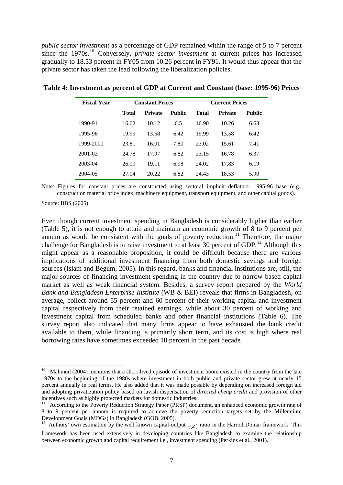*public sector investment* as a percentage of GDP remained within the range of 5 to 7 percent since the 1970s.[10](#page-9-0) Conversely, *private sector investment* at current prices has increased gradually to 18.53 percent in FY05 from 10.26 percent in FY91. It would thus appear that the private sector has taken the lead following the liberalization policies.

| <b>Fiscal Year</b> | <b>Constant Prices</b> |                          |      | <b>Current Prices</b> |                |               |
|--------------------|------------------------|--------------------------|------|-----------------------|----------------|---------------|
|                    | Total                  | Public<br><b>Private</b> |      | <b>Total</b>          | <b>Private</b> | <b>Public</b> |
| 1990-91            | 16.62                  | 10.12                    | 6.5  | 16.90                 | 10.26          | 6.63          |
| 1995-96            | 19.99                  | 13.58                    | 6.42 | 19.99                 | 13.58          | 6.42          |
| 1999-2000          | 23.81                  | 16.01                    | 7.80 | 23.02                 | 15.61          | 7.41          |
| 2001-02            | 24.78                  | 17.97                    | 6.82 | 23.15                 | 16.78          | 6.37          |
| 2003-04            | 26.09                  | 19.11                    | 6.98 | 24.02                 | 17.83          | 6.19          |
| 2004-05            | 27.04                  | 20.22                    | 6.82 | 24.43                 | 18.53          | 5.90          |

**Table 4: Investment as percent of GDP at Current and Constant (base: 1995-96) Prices** 

Note: Figures for constant prices are constructed using sectoral implicit deflators: 1995-96 base (e.g., construction material price index, machinery equipment, transport equipment, and other capital goods).

Source: BBS (2005).

 $\overline{a}$ 

Even though current investment spending in Bangladesh is considerably higher than earlier (Table 5), it is not enough to attain and maintain an economic growth of 8 to 9 percent per annum as would be consistent with the goals of poverty reduction.<sup>[11](#page-9-1)</sup> Therefore, the major challenge for Bangladesh is to raise investment to at least 30 percent of GDP.<sup>[12](#page-9-2)</sup> Although this might appear as a reasonable proposition, it could be difficult because there are various implications of additional investment financing from both domestic savings and foreign sources (Islam and Begum, 2005). In this regard, banks and financial institutions are, still, the major sources of financing investment spending in the country due to narrow based capital market as well as weak financial system. Besides, a survey report prepared by the *World Bank and Bangladesh Enterprise Institute* (WB & BEI) reveals that firms in Bangladesh, on average, collect around 55 percent and 60 percent of their working capital and investment capital respectively from their retained earnings, while about 30 percent of working and investment capital from scheduled banks and other financial institutions (Table 6). The survey report also indicated that many firms appear to have exhausted the bank credit available to them, while financing is primarily short term, and its cost is high where real borrowing rates have sometimes exceeded 10 percent in the past decade.

<span id="page-9-0"></span> $10$  Mahmud (2004) mentions that a short-lived episode of investment boom existed in the country from the late 1970s to the beginning of the 1980s where investment in both public and private sector grew at nearly 15 percent annually in real terms. He also added that it was made possible by depending on increased foreign aid and adopting privatization policy based on lavish dispensation of *directed cheap credit* and provision of other incentives such as highly protected markets for domestic industries.

<span id="page-9-1"></span><sup>&</sup>lt;sup>11</sup> According to the Poverty Reduction Strategy Paper (PRSP) document, an enhanced economic growth rate of 8 to 9 percent per annum is required to achieve the poverty reduction targets set by the Millennium Development Goals (MDGs) in Bangladesh (GOB, 2005).

<span id="page-9-2"></span><sup>&</sup>lt;sup>12</sup> Authors' own estimation by the well known capital-output  $(K<sub>K</sub>)$  ratio in the Harrod-Domar framework. This framework has been used extensively in developing countries like Bangladesh to examine the relationship between economic growth and capital requirement i.e., investment spending (Perkins et al., 2001).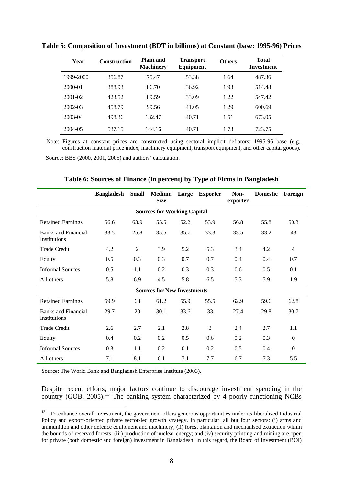| Year      | <b>Construction</b> | Plant and<br><b>Machinery</b> | <b>Transport</b><br>Equipment | <b>Others</b> | <b>Total</b><br>Investment |
|-----------|---------------------|-------------------------------|-------------------------------|---------------|----------------------------|
| 1999-2000 | 356.87              | 75.47                         | 53.38                         | 1.64          | 487.36                     |
| 2000-01   | 388.93              | 86.70                         | 36.92                         | 1.93          | 514.48                     |
| 2001-02   | 423.52              | 89.59                         | 33.09                         | 1.22          | 547.42                     |
| 2002-03   | 458.79              | 99.56                         | 41.05                         | 1.29          | 600.69                     |
| 2003-04   | 498.36              | 132.47                        | 40.71                         | 1.51          | 673.05                     |
| 2004-05   | 537.15              | 144.16                        | 40.71                         | 1.73          | 723.75                     |

**Table 5: Composition of Investment (BDT in billions) at Constant (base: 1995-96) Prices** 

 Note: Figures at constant prices are constructed using sectoral implicit deflators: 1995-96 base (e.g., construction material price index, machinery equipment, transport equipment, and other capital goods).

Source: BBS (2000, 2001, 2005) and authors' calculation.

|                                            | <b>Bangladesh</b> | <b>Small</b> | <b>Medium</b><br><b>Size</b>       | Large | <b>Exporter</b> | Non-<br>exporter | <b>Domestic</b> | Foreign        |
|--------------------------------------------|-------------------|--------------|------------------------------------|-------|-----------------|------------------|-----------------|----------------|
|                                            |                   |              | <b>Sources for Working Capital</b> |       |                 |                  |                 |                |
| <b>Retained Earnings</b>                   | 56.6              | 63.9         | 55.5                               | 52.2  | 53.9            | 56.8             | 55.8            | 50.3           |
| <b>Banks and Financial</b><br>Institutions | 33.5              | 25.8         | 35.5                               | 35.7  | 33.3            | 33.5             | 33.2            | 43             |
| <b>Trade Credit</b>                        | 4.2               | 2            | 3.9                                | 5.2   | 5.3             | 3.4              | 4.2             | $\overline{4}$ |
| Equity                                     | 0.5               | 0.3          | 0.3                                | 0.7   | 0.7             | 0.4              | 0.4             | 0.7            |
| <b>Informal Sources</b>                    | 0.5               | 1.1          | 0.2                                | 0.3   | 0.3             | 0.6              | 0.5             | 0.1            |
| All others                                 | 5.8               | 6.9          | 4.5                                | 5.8   | 6.5             | 5.3              | 5.9             | 1.9            |
|                                            |                   |              | <b>Sources for New Investments</b> |       |                 |                  |                 |                |
| <b>Retained Earnings</b>                   | 59.9              | 68           | 61.2                               | 55.9  | 55.5            | 62.9             | 59.6            | 62.8           |
| <b>Banks and Financial</b><br>Institutions | 29.7              | 20           | 30.1                               | 33.6  | 33              | 27.4             | 29.8            | 30.7           |
| <b>Trade Credit</b>                        | 2.6               | 2.7          | 2.1                                | 2.8   | 3               | 2.4              | 2.7             | 1.1            |
| Equity                                     | 0.4               | 0.2          | 0.2                                | 0.5   | 0.6             | 0.2              | 0.3             | $\Omega$       |
| <b>Informal Sources</b>                    | 0.3               | 1.1          | 0.2                                | 0.1   | 0.2             | 0.5              | 0.4             | $\Omega$       |
| All others                                 | 7.1               | 8.1          | 6.1                                | 7.1   | 7.7             | 6.7              | 7.3             | 5.5            |

**Table 6: Sources of Finance (in percent) by Type of Firms in Bangladesh**

Source: The World Bank and Bangladesh Enterprise Institute (2003).

Despite recent efforts, major factors continue to discourage investment spending in the country (GOB, 2005).<sup>[13](#page-10-0)</sup> The banking system characterized by 4 poorly functioning NCBs

<span id="page-10-0"></span> $13$ 13 To enhance overall investment, the government offers generous opportunities under its liberalised Industrial Policy and export-oriented private sector-led growth strategy. In particular, all but four sectors: (i) arms and ammunition and other defence equipment and machinery; (ii) forest plantation and mechanised extraction within the bounds of reserved forests; (iii) production of nuclear energy; and (iv) security printing and mining are open for private (both domestic and foreign) investment in Bangladesh. In this regard, the Board of Investment (BOI)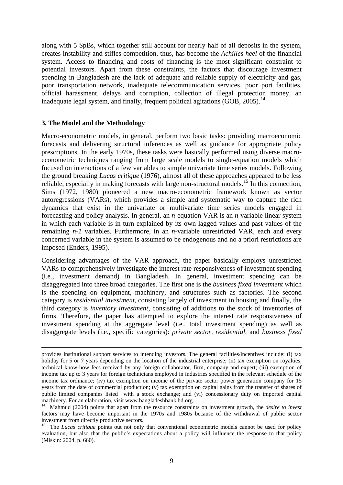along with 5 SpBs, which together still account for nearly half of all deposits in the system, creates instability and stifles competition, thus, has become the *Achilles heel* of the financial system. Access to financing and costs of financing is the most significant constraint to potential investors. Apart from these constraints, the factors that discourage investment spending in Bangladesh are the lack of adequate and reliable supply of electricity and gas, poor transportation network, inadequate telecommunication services, poor port facilities, official harassment, delays and corruption, collection of illegal protection money, an inadequate legal system, and finally, frequent political agitations  $(GOB, 2005)$ .<sup>[14](#page-11-0)</sup>

#### **3. The Model and the Methodology**

Macro-econometric models, in general, perform two basic tasks: providing macroeconomic forecasts and delivering structural inferences as well as guidance for appropriate policy prescriptions. In the early 1970s, these tasks were basically performed using diverse macroeconometric techniques ranging from large scale models to single-equation models which focused on interactions of a few variables to simple univariate time series models. Following the ground breaking *Lucas critique* (1976), almost all of these approaches appeared to be less reliable, especially in making forecasts with large non-structural models.<sup>15</sup> In this connection, Sims (1972, 1980) pioneered a new macro-econometric framework known as vector autoregressions (VARs), which provides a simple and systematic way to capture the rich dynamics that exist in the univariate or multivariate time series models engaged in forecasting and policy analysis. In general, an *n*-equation VAR is an *n*-variable linear system in which each variable is in turn explained by its own lagged values and past values of the remaining *n-1* variables. Furthermore, in an *n*-variable unrestricted VAR, each and every concerned variable in the system is assumed to be endogenous and no a priori restrictions are imposed (Enders, 1995).

Considering advantages of the VAR approach, the paper basically employs unrestricted VARs to comprehensively investigate the interest rate responsiveness of investment spending (i.e., investment demand) in Bangladesh. In general, investment spending can be disaggregated into three broad categories. The first one is the *business fixed investment* which is the spending on equipment, machinery, and structures such as factories. The second category is *residential investment*, consisting largely of investment in housing and finally, the third category is *inventory investment*, consisting of additions to the stock of inventories of firms. Therefore, the paper has attempted to explore the interest rate responsiveness of investment spending at the aggregate level (i.e., total investment spending) as well as disaggregate levels (i.e., specific categories): *private sector*, *residential*, and *business fixed* 

provides institutional support services to intending investors. The general facilities/incentives include: (i) tax holiday for 5 or 7 years depending on the location of the industrial enterprise; (ii) tax exemption on royalties, technical know-how fees received by any foreign collaborator, firm, company and expert; (iii) exemption of income tax up to 3 years for foreign technicians employed in industries specified in the relevant schedule of the income tax ordinance; (iv) tax exemption on income of the private sector power generation company for 15 years from the date of commercial production; (v) tax exemption on capital gains from the transfer of shares of public limited companies listed with a stock exchange; and (vi) concessionary duty on imported capital machinery. For an elaboration, visit www.bangladeshbank.bd.org.<br><sup>14</sup> Mahmud (2004) points that apart from the resource constraints on investment growth, the *desire to invest* 

<span id="page-11-0"></span>factors may have become important in the 1970s and 1980s because of the withdrawal of public sector investment from directly productive sectors.

<span id="page-11-1"></span><sup>&</sup>lt;sup>15</sup> The *Lucas critique* points out not only that conventional econometric models cannot be used for policy evaluation, but also that the public's expectations about a policy will influence the response to that policy (Miskin: 2004, p. 660).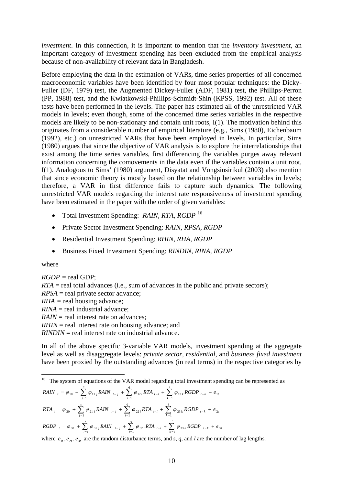*investment*. In this connection, it is important to mention that the *inventory investment*, an important category of investment spending has been excluded from the empirical analysis because of non-availability of relevant data in Bangladesh.

Before employing the data in the estimation of VARs, time series properties of all concerned macroeconomic variables have been identified by four most popular techniques: the Dicky-Fuller (DF, 1979) test, the Augmented Dickey-Fuller (ADF, 1981) test, the Phillips-Perron (PP, 1988) test, and the Kwiatkowski-Phillips-Schmidt-Shin (KPSS, 1992) test. All of these tests have been performed in the levels. The paper has estimated all of the unrestricted VAR models in levels; even though, some of the concerned time series variables in the respective models are likely to be non-stationary and contain unit roots, I(1). The motivation behind this originates from a considerable number of empirical literature (e.g., Sims (1980), Eichenbaum (1992), etc.) on unrestricted VARs that have been employed in levels. In particular, Sims (1980) argues that since the objective of VAR analysis is to explore the interrelationships that exist among the time series variables, first differencing the variables purges away relevant information concerning the comovements in the data even if the variables contain a unit root, I(1). Analogous to Sims' (1980) argument, Disyatat and Vongsinsirikul (2003) also mention that since economic theory is mostly based on the relationship between variables in levels; therefore, a VAR in first difference fails to capture such dynamics. The following unrestricted VAR models regarding the interest rate responsiveness of investment spending have been estimated in the paper with the order of given variables:

- Total Investment Spending: *RAIN, RTA, RGDP* [16](#page-12-0)
- Private Sector Investment Spending: *RAIN, RPSA, RGDP*
- Residential Investment Spending: *RHIN, RHA, RGDP*
- Business Fixed Investment Spending: *RINDIN, RINA, RGDP*

#### where

 $\overline{a}$ 

*RGDP =* real GDP;  $RTA$  = real total advances (i.e., sum of advances in the public and private sectors); *RPSA* = real private sector advance; *RHA =* real housing advance; *RINA* = real industrial advance; *RAIN* = real interest rate on advances: *RHIN* = real interest rate on housing advance; and *RINDIN* **=** real interest rate on industrial advance.

In all of the above specific 3-variable VAR models, investment spending at the aggregate level as well as disaggregate levels: *private sector*, *residential*, and *business fixed investment* have been proxied by the outstanding advances (in real terms) in the respective categories by

<span id="page-12-0"></span>
$$
RAIN_{t} = \varphi_{10} + \sum_{j=1}^{s} \varphi_{11j} RAIN_{t-j} + \sum_{i=1}^{q} \varphi_{12i} RTA_{t-i} + \sum_{k=1}^{l} \varphi_{13k} RGBP_{t-k} + e_{1t}
$$
\n
$$
RTA_{t} = \varphi_{20} + \sum_{j=1}^{s} \varphi_{21j} RAIN_{t-j} + \sum_{i=1}^{q} \varphi_{22i} RTA_{t-i} + \sum_{k=1}^{l} \varphi_{23k} RGBP_{t-k} + e_{2t}
$$
\n
$$
RGDP_{t} = \varphi_{30} + \sum_{j=1}^{s} \varphi_{31j} RAIN_{t-j} + \sum_{i=1}^{q} \varphi_{32i} RTA_{t-i} + \sum_{k=1}^{l} \varphi_{33k} RGBP_{t-k} + e_{3t}
$$

where  $e_{1t}$ ,  $e_{2t}$ ,  $e_{3t}$  are the random disturbance terms, and *s*, *q*, and *l* are the number of lag lengths.

<sup>&</sup>lt;sup>16</sup> The system of equations of the VAR model regarding total investment spending can be represented as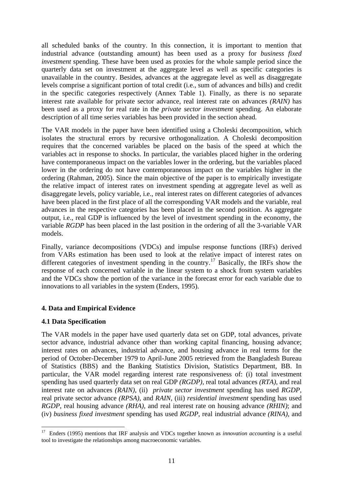all scheduled banks of the country. In this connection, it is important to mention that industrial advance (outstanding amount) has been used as a proxy for *business fixed investment* spending. These have been used as proxies for the whole sample period since the quarterly data set on investment at the aggregate level as well as specific categories is unavailable in the country. Besides, advances at the aggregate level as well as disaggregate levels comprise a significant portion of total credit (i.e., sum of advances and bills) and credit in the specific categories respectively (Annex Table 1). Finally, as there is no separate interest rate available for private sector advance, real interest rate on advances *(RAIN)* has been used as a proxy for real rate in the *private sector investment* spending. An elaborate description of all time series variables has been provided in the section ahead.

The VAR models in the paper have been identified using a Choleski decomposition, which isolates the structural errors by recursive orthogonalization. A Choleski decomposition requires that the concerned variables be placed on the basis of the speed at which the variables act in response to shocks. In particular, the variables placed higher in the ordering have contemporaneous impact on the variables lower in the ordering, but the variables placed lower in the ordering do not have contemporaneous impact on the variables higher in the ordering (Rahman, 2005). Since the main objective of the paper is to empirically investigate the relative impact of interest rates on investment spending at aggregate level as well as disaggregate levels, policy variable, i.e., real interest rates on different categories of advances have been placed in the first place of all the corresponding VAR models and the variable, real advances in the respective categories has been placed in the second position. As aggregate output, i.e., real GDP is influenced by the level of investment spending in the economy, the variable *RGDP* has been placed in the last position in the ordering of all the 3-variable VAR models.

Finally, variance decompositions (VDCs) and impulse response functions (IRFs) derived from VARs estimation has been used to look at the relative impact of interest rates on different categories of investment spending in the country.<sup>[17](#page-13-0)</sup> Basically, the IRFs show the response of each concerned variable in the linear system to a shock from system variables and the VDCs show the portion of the variance in the forecast error for each variable due to innovations to all variables in the system (Enders, 1995).

## **4. Data and Empirical Evidence**

## **4.1 Data Specification**

The VAR models in the paper have used quarterly data set on GDP, total advances, private sector advance, industrial advance other than working capital financing, housing advance; interest rates on advances, industrial advance, and housing advance in real terms for the period of October-December 1979 to April-June 2005 retrieved from the Bangladesh Bureau of Statistics (BBS) and the Banking Statistics Division, Statistics Department, BB. In particular, the VAR model regarding interest rate responsiveness of: (i) total investment spending has used quarterly data set on real GDP *(RGDP)*, real total advances *(RTA)*, and real interest rate on advances *(RAIN)*, (ii) *private sector investment* spending has used *RGDP*, real private sector advance *(RPSA)*, and *RAIN*, (iii) *residential investment* spending has used *RGDP*, real housing advance *(RHA)*, and real interest rate on housing advance *(RHIN)*; and (iv) *business fixed investment* spending has used *RGDP*, real industrial advance *(RINA)*, and

<span id="page-13-0"></span> $\overline{a}$ <sup>17</sup> Enders (1995) mentions that IRF analysis and VDCs together known as *innovation accounting* is a useful tool to investigate the relationships among macroeconomic variables.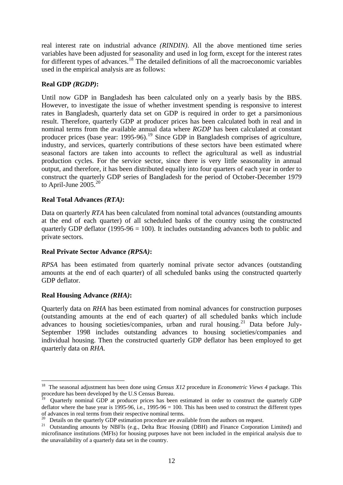real interest rate on industrial advance *(RINDIN)*. All the above mentioned time series variables have been adjusted for seasonality and used in log form, except for the interest rates for different types of advances.[18](#page-14-0) The detailed definitions of all the macroeconomic variables used in the empirical analysis are as follows:

### **Real GDP** *(RGDP)***:**

Until now GDP in Bangladesh has been calculated only on a yearly basis by the BBS. However, to investigate the issue of whether investment spending is responsive to interest rates in Bangladesh, quarterly data set on GDP is required in order to get a parsimonious result. Therefore, quarterly GDP at producer prices has been calculated both in real and in nominal terms from the available annual data where *RGDP* has been calculated at constant producer prices (base year:  $1995-96$  $1995-96$ ).<sup>19</sup> Since GDP in Bangladesh comprises of agriculture, industry, and services, quarterly contributions of these sectors have been estimated where seasonal factors are taken into accounts to reflect the agricultural as well as industrial production cycles. For the service sector, since there is very little seasonality in annual output, and therefore, it has been distributed equally into four quarters of each year in order to construct the quarterly GDP series of Bangladesh for the period of October-December 1979 to April-June  $2005.<sup>20</sup>$  $2005.<sup>20</sup>$ 

#### **Real Total Advances** *(RTA)***:**

Data on quarterly *RTA* has been calculated from nominal total advances (outstanding amounts at the end of each quarter) of all scheduled banks of the country using the constructed quarterly GDP deflator (1995-96  $= 100$ ). It includes outstanding advances both to public and private sectors.

#### **Real Private Sector Advance** *(RPSA)***:**

*RPSA* has been estimated from quarterly nominal private sector advances (outstanding amounts at the end of each quarter) of all scheduled banks using the constructed quarterly GDP deflator.

#### **Real Housing Advance** *(RHA)***:**

 $\overline{a}$ 

Quarterly data on *RHA* has been estimated from nominal advances for construction purposes (outstanding amounts at the end of each quarter) of all scheduled banks which include advances to housing societies/companies, urban and rural housing.<sup>[21](#page-14-3)</sup> Data before July-September 1998 includes outstanding advances to housing societies/companies and individual housing. Then the constructed quarterly GDP deflator has been employed to get quarterly data on *RHA*.

<span id="page-14-0"></span><sup>&</sup>lt;sup>18</sup> The seasonal adjustment has been done using *Census X12* procedure in *Econometric Views 4* package. This procedure has been developed by the U.S Census Bureau.

<span id="page-14-1"></span><sup>&</sup>lt;sup>19</sup> Quarterly nominal GDP at producer prices has been estimated in order to construct the quarterly GDP deflator where the base year is 1995-96, i.e., 1995-96 = 100. This has been used to construct the different types of advances in real terms from their respective nominal terms.<br>
<sup>20</sup> Details on the quarterly GDP estimation procedure are available from the authors on request.<br>
<sup>20</sup> Outstanding amounts by NBFIs (e.g., Delta Brac Housin

<span id="page-14-2"></span>

<span id="page-14-3"></span>microfinance institutions (MFIs) for housing purposes have not been included in the empirical analysis due to the unavailability of a quarterly data set in the country.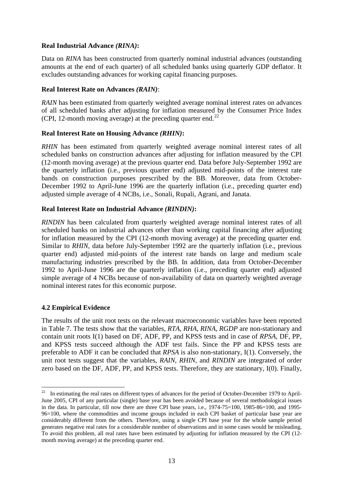## **Real Industrial Advance** *(RINA)***:**

Data on *RINA* has been constructed from quarterly nominal industrial advances (outstanding amounts at the end of each quarter) of all scheduled banks using quarterly GDP deflator. It excludes outstanding advances for working capital financing purposes.

#### **Real Interest Rate on Advances** *(RAIN)*:

*RAIN* has been estimated from quarterly weighted average nominal interest rates on advances of all scheduled banks after adjusting for inflation measured by the Consumer Price Index (CPI, 12-month moving average) at the preceding quarter end. $^{22}$  $^{22}$  $^{22}$ 

#### **Real Interest Rate on Housing Advance** *(RHIN)***:**

*RHIN* has been estimated from quarterly weighted average nominal interest rates of all scheduled banks on construction advances after adjusting for inflation measured by the CPI (12-month moving average) at the previous quarter end. Data before July-September 1992 are the quarterly inflation (i.e., previous quarter end) adjusted mid-points of the interest rate bands on construction purposes prescribed by the BB. Moreover, data from October-December 1992 to April-June 1996 are the quarterly inflation (i.e., preceding quarter end) adjusted simple average of 4 NCBs, i.e., Sonali, Rupali, Agrani, and Janata.

#### **Real Interest Rate on Industrial Advance** *(RINDIN)***:**

*RINDIN* has been calculated from quarterly weighted average nominal interest rates of all scheduled banks on industrial advances other than working capital financing after adjusting for inflation measured by the CPI (12-month moving average) at the preceding quarter end. Similar to *RHIN*, data before July-September 1992 are the quarterly inflation (i.e., previous quarter end) adjusted mid-points of the interest rate bands on large and medium scale manufacturing industries prescribed by the BB. In addition, data from October-December 1992 to April-June 1996 are the quarterly inflation (i.e., preceding quarter end) adjusted simple average of 4 NCBs because of non-availability of data on quarterly weighted average nominal interest rates for this economic purpose.

## **4.2 Empirical Evidence**

The results of the unit root tests on the relevant macroeconomic variables have been reported in Table 7. The tests show that the variables, *RTA*, *RHA*, *RINA*, *RGDP* are non-stationary and contain unit roots I(1) based on DF, ADF, PP, and KPSS tests and in case of *RPSA*, DF, PP, and KPSS tests succeed although the ADF test fails. Since the PP and KPSS tests are preferable to ADF it can be concluded that *RPSA* is also non-stationary, I(1). Conversely, the unit root tests suggest that the variables, *RAIN*, *RHIN*, and *RINDIN* are integrated of order zero based on the DF, ADF, PP, and KPSS tests. Therefore, they are stationary, I(0). Finally,

<span id="page-15-0"></span> $22$ In estimating the real rates on different types of advances for the period of October-December 1979 to April-June 2005, CPI of any particular (single) base year has been avoided because of several methodological issues in the data. In particular, till now there are three CPI base years, i.e., 1974-75=100, 1985-86=100, and 1995- 96=100, where the commodities and income groups included in each CPI basket of particular base year are considerably different from the others. Therefore, using a single CPI base year for the whole sample period generates negative real rates for a considerable number of observations and in some cases would be misleading. To avoid this problem, all real rates have been estimated by adjusting for inflation measured by the CPI (12 month moving average) at the preceding quarter end.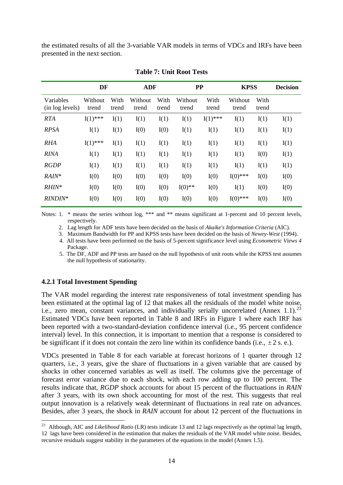the estimated results of all the 3-variable VAR models in terms of VDCs and IRFs have been presented in the next section.

|                              | DF               |               | <b>ADF</b>       |               | <b>PP</b>        |               | <b>KPSS</b>      |               | <b>Decision</b> |
|------------------------------|------------------|---------------|------------------|---------------|------------------|---------------|------------------|---------------|-----------------|
| Variables<br>(in log levels) | Without<br>trend | With<br>trend | Without<br>trend | With<br>trend | Without<br>trend | With<br>trend | Without<br>trend | With<br>trend |                 |
| <b>RTA</b>                   | $I(1)$ ***       | I(1)          | I(1)             | I(1)          | I(1)             | $I(1)$ ***    | I(1)             | I(1)          | I(1)            |
| <b>RPSA</b>                  | I(1)             | I(1)          | I(0)             | I(0)          | I(1)             | I(1)          | I(1)             | I(1)          | I(1)            |
| <b>RHA</b>                   | $I(1)$ ***       | I(1)          | I(1)             | I(1)          | I(1)             | I(1)          | I(1)             | I(1)          | I(1)            |
| <b>RINA</b>                  | I(1)             | I(1)          | I(1)             | I(1)          | I(1)             | I(1)          | I(1)             | I(0)          | I(1)            |
| <b>RGDP</b>                  | I(1)             | I(1)          | I(1)             | I(1)          | I(1)             | I(1)          | I(1)             | I(1)          | I(1)            |
| RAIN*                        | I(0)             | I(0)          | I(0)             | I(0)          | I(0)             | I(0)          | $I(0)$ ***       | I(0)          | I(0)            |
| RHIN*                        | I(0)             | I(0)          | I(0)             | I(0)          | $I(0)$ **        | I(0)          | I(1)             | I(0)          | I(0)            |
| $RINDIN*$                    | I(0)             | I(0)          | I(0)             | I(0)          | I(0)             | I(0)          | $I(0)$ ***       | I(0)          | I(0)            |

#### **Table 7: Unit Root Tests**

Notes: 1. \* means the series without log, \*\*\* and \*\* means significant at 1-percent and 10 percent levels, respectively.

2. Lag length for ADF tests have been decided on the basis of *Akaike's Information Criteria* (AIC).

3. Maximum Bandwidth for PP and KPSS tests have been decided on the basis of *Newey-West* (1994).

 4. All tests have been performed on the basis of 5-percent significance level using *Econometric Views 4* Package.

 5. The DF, ADF and PP tests are based on the null hypothesis of unit roots while the KPSS test assumes the null hypothesis of stationarity.

#### **4.2.1 Total Investment Spending**

 $\overline{a}$ 

The VAR model regarding the interest rate responsiveness of total investment spending has been estimated at the optimal lag of 12 that makes all the residuals of the model white noise, i.e., zero mean, constant variances, and individually serially uncorrelated (Annex 1.1).<sup>[23](#page-16-0)</sup> Estimated VDCs have been reported in Table 8 and IRFs in Figure 1 where each IRF has been reported with a two-standard-deviation confidence interval (i.e., 95 percent confidence interval) level. In this connection, it is important to mention that a response is considered to be significant if it does not contain the zero line within its confidence bands (i.e.,  $\pm 2$  s. e.).

VDCs presented in Table 8 for each variable at forecast horizons of 1 quarter through 12 quarters, i.e., 3 years, give the share of fluctuations in a given variable that are caused by shocks in other concerned variables as well as itself. The columns give the percentage of forecast error variance due to each shock, with each row adding up to 100 percent. The results indicate that, *RGDP* shock accounts for about 15 percent of the fluctuations in *RAIN* after 3 years, with its own shock accounting for most of the rest. This suggests that real output innovation is a relatively weak determinant of fluctuations in real rate on advances. Besides, after 3 years, the shock in *RAIN* account for about 12 percent of the fluctuations in

<span id="page-16-0"></span><sup>23</sup> Although, AIC and *Likelihood Ratio* (LR) tests indicate 13 and 12 lags respectively as the optimal lag length, 12 lags have been considered in the estimation that makes the residuals of the VAR model white noise. Besides, recursive residuals suggest stability in the parameters of the equations in the model (Annex 1.5).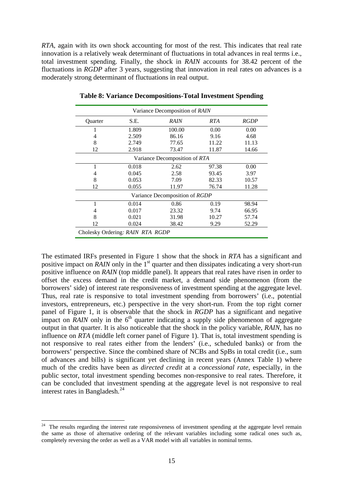*RTA*, again with its own shock accounting for most of the rest. This indicates that real rate innovation is a relatively weak determinant of fluctuations in total advances in real terms i.e., total investment spending. Finally, the shock in *RAIN* accounts for 38.42 percent of the fluctuations in *RGDP* after 3 years, suggesting that innovation in real rates on advances is a moderately strong determinant of fluctuations in real output.

| Variance Decomposition of RAIN   |                               |                                |            |             |  |  |  |  |  |
|----------------------------------|-------------------------------|--------------------------------|------------|-------------|--|--|--|--|--|
| Quarter                          | S.E.                          | <b>RAIN</b>                    | <b>RTA</b> | <b>RGDP</b> |  |  |  |  |  |
|                                  | 1.809                         | 100.00                         | 0.00       | 0.00        |  |  |  |  |  |
| 4                                | 2.509                         | 86.16                          | 9.16       | 4.68        |  |  |  |  |  |
| 8                                | 2.749                         | 77.65                          | 11.22      | 11.13       |  |  |  |  |  |
| 12                               | 2.918                         | 73.47                          | 11.87      | 14.66       |  |  |  |  |  |
|                                  | Variance Decomposition of RTA |                                |            |             |  |  |  |  |  |
| 1                                | 0.018                         | 2.62                           | 97.38      | 0.00        |  |  |  |  |  |
| 4                                | 0.045                         | 2.58                           | 93.45      | 3.97        |  |  |  |  |  |
| 8                                | 0.053                         | 7.09                           | 82.33      | 10.57       |  |  |  |  |  |
| 12                               | 0.055                         | 11.97                          | 76.74      | 11.28       |  |  |  |  |  |
|                                  |                               | Variance Decomposition of RGDP |            |             |  |  |  |  |  |
|                                  | 0.014                         | 0.86                           | 0.19       | 98.94       |  |  |  |  |  |
| 4                                | 0.017                         | 23.32                          | 9.74       | 66.95       |  |  |  |  |  |
| 8                                | 0.021                         | 31.98                          | 10.27      | 57.74       |  |  |  |  |  |
| 12                               | 0.024                         | 38.42                          | 9.29       | 52.29       |  |  |  |  |  |
| Cholesky Ordering: RAIN RTA RGDP |                               |                                |            |             |  |  |  |  |  |

**Table 8: Variance Decompositions-Total Investment Spending**

The estimated IRFs presented in Figure 1 show that the shock in *RTA* has a significant and positive impact on *RAIN* only in the 1<sup>st</sup> quarter and then dissipates indicating a very short-run positive influence on *RAIN* (top middle panel). It appears that real rates have risen in order to offset the excess demand in the credit market, a demand side phenomenon (from the borrowers' side) of interest rate responsiveness of investment spending at the aggregate level. Thus, real rate is responsive to total investment spending from borrowers' (i.e., potential investors, entrepreneurs, etc.) perspective in the very short-run. From the top right corner panel of Figure 1, it is observable that the shock in *RGDP* has a significant and negative impact on  $\overline{R}$ *AIN* only in the  $6<sup>th</sup>$  quarter indicating a supply side phenomenon of aggregate output in that quarter. It is also noticeable that the shock in the policy variable, *RAIN*, has no influence on *RTA* (middle left corner panel of Figure 1). That is, total investment spending is not responsive to real rates either from the lenders' (i.e., scheduled banks) or from the borrowers' perspective. Since the combined share of NCBs and SpBs in total credit (i.e., sum of advances and bills) is significant yet declining in recent years (Annex Table 1) where much of the credits have been as *directed credit* at a *concessional rate*, especially, in the public sector, total investment spending becomes non-responsive to real rates. Therefore, it can be concluded that investment spending at the aggregate level is not responsive to real interest rates in Bangladesh.[24](#page-17-0)

 $\overline{a}$ 

<span id="page-17-0"></span> $24$  The results regarding the interest rate responsiveness of investment spending at the aggregate level remain the same as those of alternative ordering of the relevant variables including some radical ones such as, completely reversing the order as well as a VAR model with all variables in nominal terms.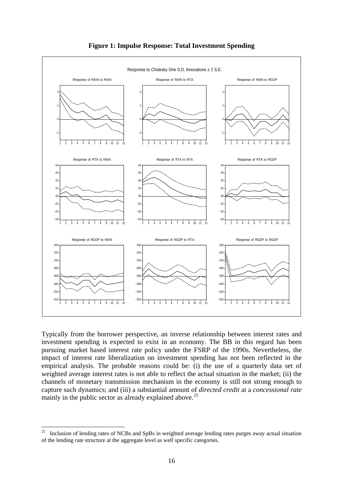

#### **Figure 1: Impulse Response: Total Investment Spending**

Typically from the borrower perspective, an inverse relationship between interest rates and investment spending is expected to exist in an economy. The BB in this regard has been pursuing market based interest rate policy under the FSRP of the 1990s. Nevertheless, the impact of interest rate liberalization on investment spending has not been reflected in the empirical analysis. The probable reasons could be: (i) the use of a quarterly data set of weighted average interest rates is not able to reflect the actual situation in the market; (ii) the channels of monetary transmission mechanism in the economy is still not strong enough to capture such dynamics; and (iii) a substantial amount of *directed credit* at a *concessional rate* mainly in the public sector as already explained above.<sup>[25](#page-18-0)</sup>

<span id="page-18-0"></span><sup>25</sup> 25 Inclusion of lending rates of NCBs and SpBs in weighted average lending rates purges away actual situation of the lending rate structure at the aggregate level as well specific categories.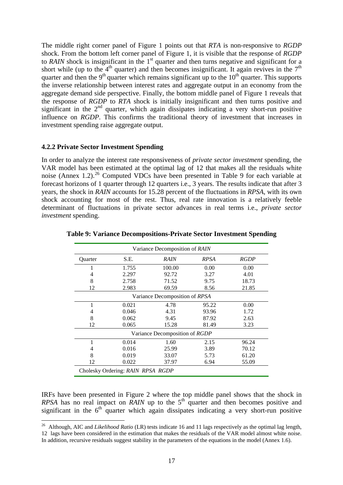The middle right corner panel of Figure 1 points out that *RTA* is non-responsive to *RGDP* shock. From the bottom left corner panel of Figure 1, it is visible that the response of *RGDP* to *RAIN* shock is insignificant in the 1<sup>st</sup> quarter and then turns negative and significant for a short while (up to the  $4<sup>th</sup>$  quarter) and then becomes insignificant. It again revives in the  $7<sup>th</sup>$ quarter and then the  $9<sup>th</sup>$  quarter which remains significant up to the  $10<sup>th</sup>$  quarter. This supports the inverse relationship between interest rates and aggregate output in an economy from the aggregate demand side perspective. Finally, the bottom middle panel of Figure 1 reveals that the response of *RGDP* to *RTA* shock is initially insignificant and then turns positive and significant in the  $2<sup>nd</sup>$  quarter, which again dissipates indicating a very short-run positive influence on *RGDP*. This confirms the traditional theory of investment that increases in investment spending raise aggregate output.

#### **4.2.2 Private Sector Investment Spending**

 $\overline{a}$ 

In order to analyze the interest rate responsiveness of *private sector investment* spending, the VAR model has been estimated at the optimal lag of 12 that makes all the residuals white noise (Annex 1.2).<sup>[26](#page-19-0)</sup> Computed VDCs have been presented in Table 9 for each variable at forecast horizons of 1 quarter through 12 quarters i.e., 3 years. The results indicate that after 3 years, the shock in *RAIN* accounts for 15.28 percent of the fluctuations in *RPSA*, with its own shock accounting for most of the rest. Thus, real rate innovation is a relatively feeble determinant of fluctuations in private sector advances in real terms i.e., *private sector investment* spending.

|                | Variance Decomposition of RAIN    |                                |             |             |  |  |  |
|----------------|-----------------------------------|--------------------------------|-------------|-------------|--|--|--|
| <b>Ouarter</b> | S.E.                              | RAIN                           | <b>RPSA</b> | <b>RGDP</b> |  |  |  |
| 1              | 1.755                             | 100.00                         | 0.00        | 0.00        |  |  |  |
| 4              | 2.297                             | 92.72                          | 3.27        | 4.01        |  |  |  |
| 8              | 2.758                             | 71.52                          | 9.75        | 18.73       |  |  |  |
| 12             | 2.983                             | 69.59                          | 8.56        | 21.85       |  |  |  |
|                |                                   | Variance Decomposition of RPSA |             |             |  |  |  |
| 1              | 0.021                             | 4.78                           | 95.22       | 0.00        |  |  |  |
| 4              | 0.046                             | 4.31                           | 93.96       | 1.72        |  |  |  |
| 8              | 0.062                             | 9.45                           | 87.92       | 2.63        |  |  |  |
| 12             | 0.065                             | 15.28                          | 81.49       | 3.23        |  |  |  |
|                |                                   | Variance Decomposition of RGDP |             |             |  |  |  |
|                | 0.014                             | 1.60                           | 2.15        | 96.24       |  |  |  |
| 4              | 0.016                             | 25.99                          | 3.89        | 70.12       |  |  |  |
| 8              | 0.019                             | 33.07                          | 5.73        | 61.20       |  |  |  |
| 12             | 0.022                             | 37.97                          | 6.94        | 55.09       |  |  |  |
|                | Cholesky Ordering: RAIN RPSA RGDP |                                |             |             |  |  |  |

**Table 9: Variance Decompositions-Private Sector Investment Spending** 

IRFs have been presented in Figure 2 where the top middle panel shows that the shock in *RPSA* has no real impact on *RAIN* up to the  $5<sup>th</sup>$  quarter and then becomes positive and significant in the  $6<sup>th</sup>$  quarter which again dissipates indicating a very short-run positive

<span id="page-19-0"></span><sup>26</sup> Although, AIC and *Likelihood Ratio* (LR) tests indicate 16 and 11 lags respectively as the optimal lag length, 12 lags have been considered in the estimation that makes the residuals of the VAR model almost white noise. In addition, recursive residuals suggest stability in the parameters of the equations in the model (Annex 1.6).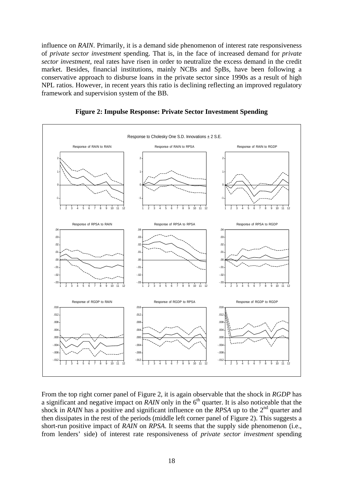influence on *RAIN*. Primarily, it is a demand side phenomenon of interest rate responsiveness of *private sector investment* spending. That is, in the face of increased demand for *private sector investment*, real rates have risen in order to neutralize the excess demand in the credit market. Besides, financial institutions, mainly NCBs and SpBs, have been following a conservative approach to disburse loans in the private sector since 1990s as a result of high NPL ratios. However, in recent years this ratio is declining reflecting an improved regulatory framework and supervision system of the BB.



**Figure 2: Impulse Response: Private Sector Investment Spending** 

From the top right corner panel of Figure 2, it is again observable that the shock in *RGDP* has a significant and negative impact on *RAIN* only in the  $6<sup>th</sup>$  quarter. It is also noticeable that the shock in *RAIN* has a positive and significant influence on the *RPSA* up to the 2<sup>nd</sup> quarter and then dissipates in the rest of the periods (middle left corner panel of Figure 2). This suggests a short-run positive impact of *RAIN* on *RPSA*. It seems that the supply side phenomenon (i.e., from lenders' side) of interest rate responsiveness of *private sector investment* spending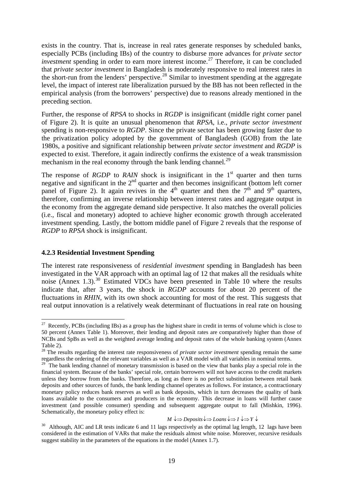exists in the country. That is, increase in real rates generate responses by scheduled banks, especially PCBs (including IBs) of the country to disburse more advances for *private sector investment* spending in order to earn more interest income.<sup>[27](#page-21-0)</sup> Therefore, it can be concluded that *private sector investment* in Bangladesh is moderately responsive to real interest rates in the short-run from the lenders' perspective.<sup>[28](#page-21-1)</sup> Similar to investment spending at the aggregate level, the impact of interest rate liberalization pursued by the BB has not been reflected in the empirical analysis (from the borrowers' perspective) due to reasons already mentioned in the preceding section.

Further, the response of *RPSA* to shocks in *RGDP* is insignificant (middle right corner panel of Figure 2). It is quite an unusual phenomenon that *RPSA*, i.e., *private sector investment* spending is non-responsive to *RGDP*. Since the private sector has been growing faster due to the privatization policy adopted by the government of Bangladesh (GOB) from the late 1980s, a positive and significant relationship between *private sector investment* and *RGDP* is expected to exist. Therefore, it again indirectly confirms the existence of a weak transmission mechanism in the real economy through the bank lending channel.<sup>[29](#page-21-2)</sup>

The response of *RGDP* to *RAIN* shock is insignificant in the  $1<sup>st</sup>$  quarter and then turns negative and significant in the  $2<sup>nd</sup>$  quarter and then becomes insignificant (bottom left corner panel of Figure 2). It again revives in the  $4<sup>th</sup>$  quarter and then the  $7<sup>th</sup>$  and  $9<sup>th</sup>$  quarters, therefore, confirming an inverse relationship between interest rates and aggregate output in the economy from the aggregate demand side perspective. It also matches the overall policies (i.e., fiscal and monetary) adopted to achieve higher economic growth through accelerated investment spending. Lastly, the bottom middle panel of Figure 2 reveals that the response of *RGDP* to *RPSA* shock is insignificant.

#### **4.2.3 Residential Investment Spending**

 $\overline{a}$ 

The interest rate responsiveness of *residential investment* spending in Bangladesh has been investigated in the VAR approach with an optimal lag of 12 that makes all the residuals white noise (Annex 1.3).<sup>[30](#page-21-3)</sup> Estimated VDCs have been presented in Table 10 where the results indicate that, after 3 years, the shock in *RGDP* accounts for about 20 percent of the fluctuations in *RHIN*, with its own shock accounting for most of the rest. This suggests that real output innovation is a relatively weak determinant of fluctuations in real rate on housing

$$
M \leftrightarrow
$$
  $Deposits \leftrightarrow$   $Loans \leftrightarrow I \leftrightarrow Y \leftrightarrow$ 

<span id="page-21-0"></span><sup>&</sup>lt;sup>27</sup> Recently, PCBs (including IBs) as a group has the highest share in credit in terms of volume which is close to 50 percent (Annex Table 1). Moreover, their lending and deposit rates are comparatively higher than those of NCBs and SpBs as well as the weighted average lending and deposit rates of the whole banking system (Annex Table 2).

<span id="page-21-1"></span><sup>&</sup>lt;sup>28</sup> The results regarding the interest rate responsiveness of *private sector investment* spending remain the same regardless the ordering of the relevant variables as well as a VAR model with all variables in nominal terms.

<span id="page-21-2"></span> $29$  The bank lending channel of monetary transmission is based on the view that banks play a special role in the financial system. Because of the banks' special role, certain borrowers will not have access to the credit markets unless they borrow from the banks. Therefore, as long as there is no perfect substitution between retail bank deposits and other sources of funds, the bank lending channel operates as follows. For instance, a contractionary monetary policy reduces bank reserves as well as bank deposits, which in turn decreases the quality of bank loans available to the consumers and producers in the economy. This decrease in loans will further cause investment (and possible consumer) spending and subsequent aggregate output to fall (Mishkin, 1996). Schematically, the monetary policy effect is:

<span id="page-21-3"></span><sup>&</sup>lt;sup>30</sup> Although, AIC and LR tests indicate 6 and 11 lags respectively as the optimal lag length, 12 lags have been considered in the estimation of VARs that make the residuals almost white noise. Moreover, recursive residuals suggest stability in the parameters of the equations in the model (Annex 1.7).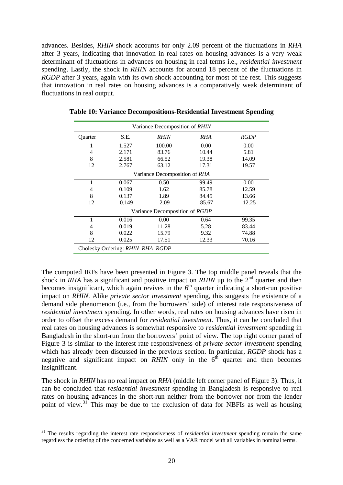advances. Besides, *RHIN* shock accounts for only 2.09 percent of the fluctuations in *RHA* after 3 years, indicating that innovation in real rates on housing advances is a very weak determinant of fluctuations in advances on housing in real terms i.e., *residential investment*  spending. Lastly, the shock in *RHIN* accounts for around 18 percent of the fluctuations in *RGDP* after 3 years, again with its own shock accounting for most of the rest. This suggests that innovation in real rates on housing advances is a comparatively weak determinant of fluctuations in real output.

| Variance Decomposition of RHIN |                                  |                                |       |             |  |  |  |
|--------------------------------|----------------------------------|--------------------------------|-------|-------------|--|--|--|
| Quarter                        | S.E.                             | <b>RHIN</b>                    | RHA   | <b>RGDP</b> |  |  |  |
| 1                              | 1.527                            | 100.00                         | 0.00  | 0.00        |  |  |  |
| 4                              | 2.171                            | 83.76                          | 10.44 | 5.81        |  |  |  |
| 8                              | 2.581                            | 66.52                          | 19.38 | 14.09       |  |  |  |
| 12                             | 2.767                            | 63.12                          | 17.31 | 19.57       |  |  |  |
|                                |                                  | Variance Decomposition of RHA  |       |             |  |  |  |
| 1                              | 0.067                            | 0.50                           | 99.49 | 0.00        |  |  |  |
| 4                              | 0.109                            | 1.62                           | 85.78 | 12.59       |  |  |  |
| 8                              | 0.137                            | 1.89                           | 84.45 | 13.66       |  |  |  |
| 12                             | 0.149                            | 2.09                           | 85.67 | 12.25       |  |  |  |
|                                |                                  | Variance Decomposition of RGDP |       |             |  |  |  |
| 1                              | 0.016                            | 0.00                           | 0.64  | 99.35       |  |  |  |
| 4                              | 0.019                            | 11.28                          | 5.28  | 83.44       |  |  |  |
| 8                              | 0.022                            | 15.79                          | 9.32  | 74.88       |  |  |  |
| 12                             | 0.025                            | 17.51                          | 12.33 | 70.16       |  |  |  |
|                                | Cholesky Ordering: RHIN RHA RGDP |                                |       |             |  |  |  |

**Table 10: Variance Decompositions-Residential Investment Spending** 

The computed IRFs have been presented in Figure 3. The top middle panel reveals that the shock in *RHA* has a significant and positive impact on *RHIN* up to the  $2^{nd}$  quarter and then becomes insignificant, which again revives in the  $6<sup>th</sup>$  quarter indicating a short-run positive impact on *RHIN*. Alike *private sector investment* spending, this suggests the existence of a demand side phenomenon (i.e., from the borrowers' side) of interest rate responsiveness of *residential investment* spending. In other words, real rates on housing advances have risen in order to offset the excess demand for *residential investment*. Thus, it can be concluded that real rates on housing advances is somewhat responsive to *residential investment* spending in Bangladesh in the short-run from the borrowers' point of view. The top right corner panel of Figure 3 is similar to the interest rate responsiveness of *private sector investment* spending which has already been discussed in the previous section. In particular, *RGDP* shock has a negative and significant impact on *RHIN* only in the  $6<sup>th</sup>$  quarter and then becomes insignificant.

The shock in *RHIN* has no real impact on *RHA* (middle left corner panel of Figure 3). Thus, it can be concluded that *residential investment* spending in Bangladesh is responsive to real rates on housing advances in the short-run neither from the borrower nor from the lender point of view.<sup>[31](#page-22-0)</sup> This may be due to the exclusion of data for NBFIs as well as housing

 $\overline{a}$ 

<span id="page-22-0"></span><sup>31</sup> The results regarding the interest rate responsiveness of *residential investment* spending remain the same regardless the ordering of the concerned variables as well as a VAR model with all variables in nominal terms.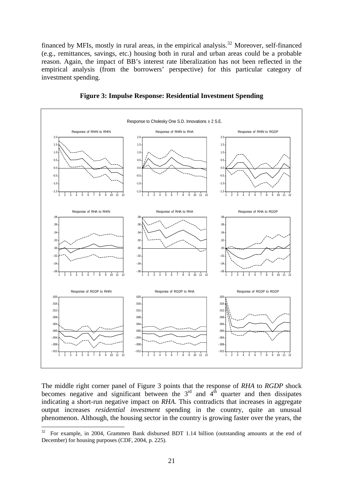financed by MFIs, mostly in rural areas, in the empirical analysis.<sup>[32](#page-23-0)</sup> Moreover, self-financed (e.g., remittances, savings, etc.) housing both in rural and urban areas could be a probable reason. Again, the impact of BB's interest rate liberalization has not been reflected in the empirical analysis (from the borrowers' perspective) for this particular category of investment spending.



**Figure 3: Impulse Response: Residential Investment Spending**

The middle right corner panel of Figure 3 points that the response of *RHA* to *RGDP* shock becomes negative and significant between the  $3<sup>rd</sup>$  and  $4<sup>th</sup>$  quarter and then dissipates indicating a short-run negative impact on *RHA*. This contradicts that increases in aggregate output increases *residential investment* spending in the country, quite an unusual phenomenon. Although, the housing sector in the country is growing faster over the years, the

<span id="page-23-0"></span> $32$ 32 For example, in 2004, Grammen Bank disbursed BDT 1.14 billion (outstanding amounts at the end of December) for housing purposes (CDF, 2004, p. 225).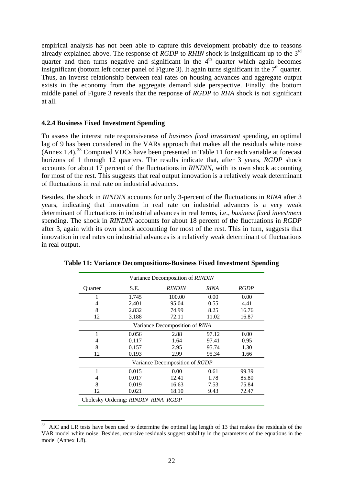empirical analysis has not been able to capture this development probably due to reasons already explained above. The response of *RGDP* to *RHIN* shock is insignificant up to the 3rd quarter and then turns negative and significant in the  $4<sup>th</sup>$  quarter which again becomes insignificant (bottom left corner panel of Figure 3). It again turns significant in the  $7<sup>th</sup>$  quarter. Thus, an inverse relationship between real rates on housing advances and aggregate output exists in the economy from the aggregate demand side perspective. Finally, the bottom middle panel of Figure 3 reveals that the response of *RGDP* to *RHA* shock is not significant at all.

#### **4.2.4 Business Fixed Investment Spending**

 $\overline{a}$ 

To assess the interest rate responsiveness of *business fixed investment* spending, an optimal lag of 9 has been considered in the VARs approach that makes all the residuals white noise  $(Annex 1.4)$ <sup>[33](#page-24-0)</sup> Computed VDCs have been presented in Table 11 for each variable at forecast horizons of 1 through 12 quarters. The results indicate that, after 3 years, *RGDP* shock accounts for about 17 percent of the fluctuations in *RINDIN*, with its own shock accounting for most of the rest. This suggests that real output innovation is a relatively weak determinant of fluctuations in real rate on industrial advances.

Besides, the shock in *RINDIN* accounts for only 3-percent of the fluctuations in *RINA* after 3 years, indicating that innovation in real rate on industrial advances is a very weak determinant of fluctuations in industrial advances in real terms, i.e., *business fixed investment* spending. The shock in *RINDIN* accounts for about 18 percent of the fluctuations in *RGDP* after 3, again with its own shock accounting for most of the rest. This in turn, suggests that innovation in real rates on industrial advances is a relatively weak determinant of fluctuations in real output.

| Variance Decomposition of RINDIN    |                                                     |                                |       |       |  |  |  |  |  |
|-------------------------------------|-----------------------------------------------------|--------------------------------|-------|-------|--|--|--|--|--|
| Quarter                             | S.E.<br><b>RINDIN</b><br><b>RINA</b><br><b>RGDP</b> |                                |       |       |  |  |  |  |  |
|                                     | 1.745                                               | 100.00                         | 0.00  | 0.00  |  |  |  |  |  |
| 4                                   | 2.401                                               | 95.04                          | 0.55  | 4.41  |  |  |  |  |  |
| 8                                   | 2.832                                               | 74.99                          | 8.25  | 16.76 |  |  |  |  |  |
| 12                                  | 3.188                                               | 72.11                          | 11.02 | 16.87 |  |  |  |  |  |
|                                     | Variance Decomposition of RINA                      |                                |       |       |  |  |  |  |  |
| 1                                   | 0.056                                               | 2.88                           | 97.12 | 0.00  |  |  |  |  |  |
| 4                                   | 0.117                                               | 1.64                           | 97.41 | 0.95  |  |  |  |  |  |
| 8                                   | 0.157                                               | 2.95                           | 95.74 | 1.30  |  |  |  |  |  |
| 12                                  | 0.193                                               | 2.99                           | 95.34 | 1.66  |  |  |  |  |  |
|                                     |                                                     | Variance Decomposition of RGDP |       |       |  |  |  |  |  |
| 1                                   | 0.015                                               | 0.00                           | 0.61  | 99.39 |  |  |  |  |  |
| 4                                   | 0.017                                               | 12.41                          | 1.78  | 85.80 |  |  |  |  |  |
| 8                                   | 0.019                                               | 16.63                          | 7.53  | 75.84 |  |  |  |  |  |
| 12                                  | 0.021                                               | 18.10                          | 9.43  | 72.47 |  |  |  |  |  |
| Cholesky Ordering: RINDIN RINA RGDP |                                                     |                                |       |       |  |  |  |  |  |

**Table 11: Variance Decompositions-Business Fixed Investment Spending**

<span id="page-24-0"></span><sup>&</sup>lt;sup>33</sup> AIC and LR tests have been used to determine the optimal lag length of 13 that makes the residuals of the VAR model white noise. Besides, recursive residuals suggest stability in the parameters of the equations in the model (Annex 1.8).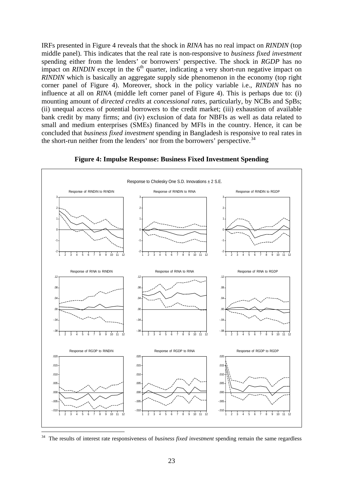IRFs presented in Figure 4 reveals that the shock in *RINA* has no real impact on *RINDIN* (top middle panel). This indicates that the real rate is non-responsive to *business fixed investment* spending either from the lenders' or borrowers' perspective. The shock in *RGDP* has no impact on *RINDIN* except in the  $6<sup>th</sup>$  quarter, indicating a very short-run negative impact on *RINDIN* which is basically an aggregate supply side phenomenon in the economy (top right corner panel of Figure 4). Moreover, shock in the policy variable i.e., *RINDIN* has no influence at all on *RINA* (middle left corner panel of Figure 4). This is perhaps due to: (i) mounting amount of *directed credits* at *concessional rates*, particularly, by NCBs and SpBs; (ii) unequal access of potential borrowers to the credit market; (iii) exhaustion of available bank credit by many firms; and (iv) exclusion of data for NBFIs as well as data related to small and medium enterprises (SMEs) financed by MFIs in the country. Hence, it can be concluded that *business fixed investment* spending in Bangladesh is responsive to real rates in the short-run neither from the lenders' nor from the borrowers' perspective.<sup>[34](#page-25-0)</sup>



#### **Figure 4: Impulse Response: Business Fixed Investment Spending**

<span id="page-25-0"></span>34 34 The results of interest rate responsiveness of *business fixed investment* spending remain the same regardless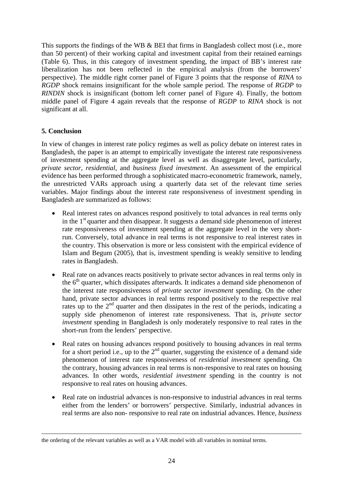This supports the findings of the WB & BEI that firms in Bangladesh collect most (i.e., more than 50 percent) of their working capital and investment capital from their retained earnings (Table 6). Thus, in this category of investment spending, the impact of BB's interest rate liberalization has not been reflected in the empirical analysis (from the borrowers' perspective). The middle right corner panel of Figure 3 points that the response of *RINA* to *RGDP* shock remains insignificant for the whole sample period. The response of *RGDP* to *RINDIN* shock is insignificant (bottom left corner panel of Figure 4). Finally, the bottom middle panel of Figure 4 again reveals that the response of *RGDP* to *RINA* shock is not significant at all.

#### **5. Conclusion**

In view of changes in interest rate policy regimes as well as policy debate on interest rates in Bangladesh, the paper is an attempt to empirically investigate the interest rate responsiveness of investment spending at the aggregate level as well as disaggregate level, particularly, *private sector*, *residential*, and *business fixed investment*. An assessment of the empirical evidence has been performed through a sophisticated macro-econometric framework, namely, the unrestricted VARs approach using a quarterly data set of the relevant time series variables. Major findings about the interest rate responsiveness of investment spending in Bangladesh are summarized as follows:

- Real interest rates on advances respond positively to total advances in real terms only in the  $1<sup>st</sup>$  quarter and then disappear. It suggests a demand side phenomenon of interest rate responsiveness of investment spending at the aggregate level in the very shortrun. Conversely, total advance in real terms is not responsive to real interest rates in the country. This observation is more or less consistent with the empirical evidence of Islam and Begum (2005), that is, investment spending is weakly sensitive to lending rates in Bangladesh.
- Real rate on advances reacts positively to private sector advances in real terms only in the  $6<sup>th</sup>$  quarter, which dissipates afterwards. It indicates a demand side phenomenon of the interest rate responsiveness of *private sector investment* spending. On the other hand, private sector advances in real terms respond positively to the respective real rates up to the 2<sup>nd</sup> quarter and then dissipates in the rest of the periods, indicating a supply side phenomenon of interest rate responsiveness. That is, *private sector investment* spending in Bangladesh is only moderately responsive to real rates in the short-run from the lenders' perspective.
- Real rates on housing advances respond positively to housing advances in real terms for a short period i.e., up to the  $2<sup>nd</sup>$  quarter, suggesting the existence of a demand side phenomenon of interest rate responsiveness of *residential investment* spending. On the contrary, housing advances in real terms is non-responsive to real rates on housing advances. In other words, *residential investment* spending in the country is not responsive to real rates on housing advances.
- Real rate on industrial advances is non-responsive to industrial advances in real terms either from the lenders' or borrowers' perspective. Similarly, industrial advances in real terms are also non- responsive to real rate on industrial advances. Hence, *business*

the ordering of the relevant variables as well as a VAR model with all variables in nominal terms.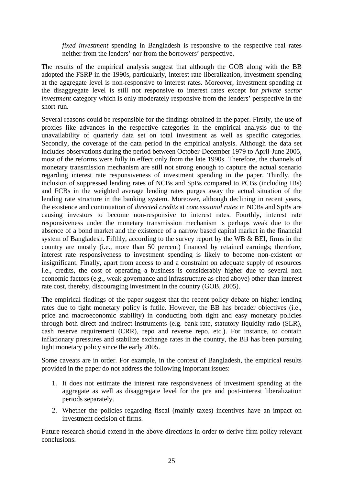*fixed investment* spending in Bangladesh is responsive to the respective real rates neither from the lenders' nor from the borrowers' perspective.

The results of the empirical analysis suggest that although the GOB along with the BB adopted the FSRP in the 1990s, particularly, interest rate liberalization, investment spending at the aggregate level is non-responsive to interest rates. Moreover, investment spending at the disaggregate level is still not responsive to interest rates except for *private sector investment* category which is only moderately responsive from the lenders' perspective in the short-run.

Several reasons could be responsible for the findings obtained in the paper. Firstly, the use of proxies like advances in the respective categories in the empirical analysis due to the unavailability of quarterly data set on total investment as well as specific categories. Secondly, the coverage of the data period in the empirical analysis. Although the data set includes observations during the period between October-December 1979 to April-June 2005, most of the reforms were fully in effect only from the late 1990s. Therefore, the channels of monetary transmission mechanism are still not strong enough to capture the actual scenario regarding interest rate responsiveness of investment spending in the paper. Thirdly, the inclusion of suppressed lending rates of NCBs and SpBs compared to PCBs (including IBs) and FCBs in the weighted average lending rates purges away the actual situation of the lending rate structure in the banking system. Moreover, although declining in recent years, the existence and continuation of *directed credits* at *concessional rates* in NCBs and SpBs are causing investors to become non-responsive to interest rates. Fourthly, interest rate responsiveness under the monetary transmission mechanism is perhaps weak due to the absence of a bond market and the existence of a narrow based capital market in the financial system of Bangladesh. Fifthly, according to the survey report by the WB & BEI, firms in the country are mostly (i.e., more than 50 percent) financed by retained earnings; therefore, interest rate responsiveness to investment spending is likely to become non-existent or insignificant. Finally, apart from access to and a constraint on adequate supply of resources i.e., credits, the cost of operating a business is considerably higher due to several non economic factors (e.g., weak governance and infrastructure as cited above) other than interest rate cost, thereby, discouraging investment in the country (GOB, 2005).

The empirical findings of the paper suggest that the recent policy debate on higher lending rates due to tight monetary policy is futile. However, the BB has broader objectives (i.e., price and macroeconomic stability) in conducting both tight and easy monetary policies through both direct and indirect instruments (e.g. bank rate, statutory liquidity ratio (SLR), cash reserve requirement (CRR), repo and reverse repo, etc.). For instance, to contain inflationary pressures and stabilize exchange rates in the country, the BB has been pursuing tight monetary policy since the early 2005.

Some caveats are in order. For example, in the context of Bangladesh, the empirical results provided in the paper do not address the following important issues:

- 1. It does not estimate the interest rate responsiveness of investment spending at the aggregate as well as disaggregate level for the pre and post-interest liberalization periods separately.
- 2. Whether the policies regarding fiscal (mainly taxes) incentives have an impact on investment decision of firms.

Future research should extend in the above directions in order to derive firm policy relevant conclusions.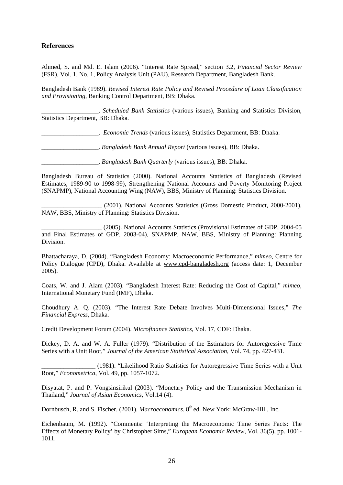#### **References**

Ahmed, S. and Md. E. Islam (2006). "Interest Rate Spread," section 3.2, *Financial Sector Review* (FSR), Vol. 1, No. 1, Policy Analysis Unit (PAU), Research Department, Bangladesh Bank.

Bangladesh Bank (1989). *Revised Interest Rate Policy and Revised Procedure of Loan Classification and Provisioning*, Banking Control Department, BB: Dhaka.

\_\_\_\_\_\_\_\_\_\_\_\_\_\_\_\_\_\_. *Scheduled Bank Statistics* (various issues), Banking and Statistics Division, Statistics Department, BB: Dhaka.

\_\_\_\_\_\_\_\_\_\_\_\_\_\_\_\_\_\_. *Economic Trends* (various issues), Statistics Department, BB: Dhaka.

\_\_\_\_\_\_\_\_\_\_\_\_\_\_\_\_\_\_. *Bangladesh Bank Annual Report* (various issues), BB: Dhaka.

\_\_\_\_\_\_\_\_\_\_\_\_\_\_\_\_\_\_. *Bangladesh Bank Quarterly* (various issues), BB: Dhaka.

Bangladesh Bureau of Statistics (2000). National Accounts Statistics of Bangladesh (Revised Estimates, 1989-90 to 1998-99), Strengthening National Accounts and Poverty Monitoring Project (SNAPMP), National Accounting Wing (NAW), BBS, Ministry of Planning: Statistics Division.

\_\_\_\_\_\_\_\_\_\_\_\_\_\_\_\_\_\_\_ (2001). National Accounts Statistics (Gross Domestic Product, 2000-2001), NAW, BBS, Ministry of Planning: Statistics Division.

\_\_\_\_\_\_\_\_\_\_\_\_\_\_\_\_\_\_\_ (2005). National Accounts Statistics (Provisional Estimates of GDP, 2004-05 and Final Estimates of GDP, 2003-04), SNAPMP, NAW, BBS, Ministry of Planning: Planning Division.

Bhattacharaya, D. (2004). "Bangladesh Economy: Macroeconomic Performance," *mimeo*, Centre for Policy Dialogue (CPD), Dhaka. Available at [www.cpd-bangladesh.org](http://www.cpd-bangladesh.org/) (access date: 1, December 2005).

Coats, W. and J. Alam (2003). "Bangladesh Interest Rate: Reducing the Cost of Capital," *mimeo*, International Monetary Fund (IMF), Dhaka.

Choudhury A. Q. (2003). "The Interest Rate Debate Involves Multi-Dimensional Issues," *The Financial Express,* Dhaka.

Credit Development Forum (2004). *Microfinance Statistics*, Vol. 17, CDF: Dhaka.

Dickey, D. A. and W. A. Fuller (1979). "Distribution of the Estimators for Autoregressive Time Series with a Unit Root," *Journal of the American Statistical Association*, Vol. 74, pp. 427-431.

\_\_\_\_\_\_\_\_\_\_\_\_\_\_\_\_\_ (1981). "Likelihood Ratio Statistics for Autoregressive Time Series with a Unit Root," *Econometrica*, Vol. 49, pp. 1057-1072.

Disyatat, P. and P. Vongsinsirikul (2003). "Monetary Policy and the Transmission Mechanism in Thailand," *Journal of Asian Economics*, Vol.14 (4).

Dornbusch, R. and S. Fischer. (2001). *Macroeconomics*. 8<sup>th</sup> ed. New York: McGraw-Hill, Inc.

Eichenbaum, M. (1992). "Comments: 'Interpreting the Macroeconomic Time Series Facts: The Effects of Monetary Policy' by Christopher Sims," *European Economic Review*, Vol. 36(5), pp. 1001- 1011.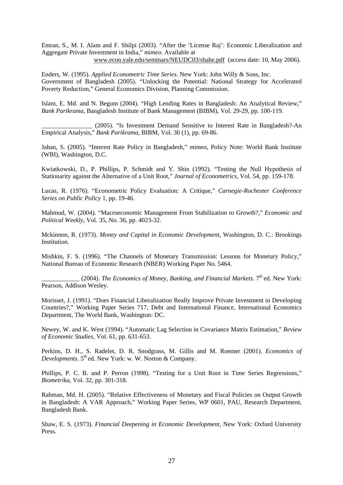Emran, S., M. I. Alam and F. Shilpi (2003). "After the 'License Raj': Economic Liberalization and Aggregate Private Investment in India," *mimeo*. Available at [www.econ.yale.edu/seminars/NEUDC03/shahe.pdf](http://www.econ.yale.edu/seminars/NEUDC03/shahe.pdf) (access date: 10, May 2006).

Enders, W. (1995). *Applied Econometric Time Series*. New York: John Willy & Sons, Inc. Government of Bangladesh (2005). "Unlocking the Potential: National Strategy for Accelerated Poverty Reduction," General Economics Division, Planning Commission.

Islam, E. Md. and N. Begum (2004). "High Lending Rates in Bangladesh: An Analytical Review," *Bank Parikrama*, Bangladesh Institute of Bank Management (BIBM), Vol. 29-29, pp. 100-119.

\_\_\_\_\_\_\_\_\_\_\_\_\_\_\_\_ (2005). "Is Investment Demand Sensitive to Interest Rate in Bangladesh?-An Empirical Analysis," *Bank Parikrama*, BIBM, Vol. 30 (1), pp. 69-86.

Jahan, S. (2005). "Interest Rate Policy in Bangladesh," *mimeo*, Policy Note: World Bank Institute (WBI), Washington, D.C.

Kwiatkowski, D., P. Phillips, P. Schmidt and Y. Shin (1992). "Testing the Null Hypothesis of Stationarity against the Alternative of a Unit Root," *Journal of Econometrics*, Vol. 54, pp. 159-178.

Lucas, R. (1976). "Econometric Policy Evaluation: A Critique," *Carnegie-Rochester Conference Series on Public Policy* 1, pp. 19-46.

Mahmud, W. (2004). "Macroeconomic Management From Stabilization to Growth?," *Economic and Political Weekly*, Vol. 35, No. 36, pp. 4023-32.

Mckinnon, R. (1973). *Money and Capital in Economic Development*, Washington, D. C.: Brookings Institution.

Mishkin, F. S. (1996). "The Channels of Monetary Transmission: Lessons for Monetary Policy," National Bureau of Economic Research (NBER) Working Paper No. 5464.

(2004). *The Economics of Money, Banking, and Financial Markets*. 7<sup>th</sup> ed. New York: Pearson, Addison Wesley.

Morisset, J. (1991). "Does Financial Liberalization Really Improve Private Investment in Developing Countries?," Working Paper Series 717, Debt and International Finance, International Economics Department, The World Bank, Washington: DC.

Newey, W. and K. West (1994). "Automatic Lag Selection in Covariance Matrix Estimation," *Review of Economic Studies,* Vol. 61, pp. 631-653.

Perkins, D. H., S. Radelet, D. R. Snodgrass, M. Gillis and M. Roemer (2001). *Economics of Developments*. 5<sup>th</sup> ed. New York: w. W. Norton & Company.

Phillips, P. C. B. and P. Perron (1998). "Testing for a Unit Root in Time Series Regressions," *Biometrika,* Vol. 32, pp. 301-318.

Rahman, Md. H. (2005). "Relative Effectiveness of Monetary and Fiscal Policies on Output Growth in Bangladesh: A VAR Approach," Working Paper Series, WP 0601, PAU, Research Department, Bangladesh Bank.

Shaw, E. S. (1973). *Financial Deepening in Economic Development*, New York: Oxford University Press.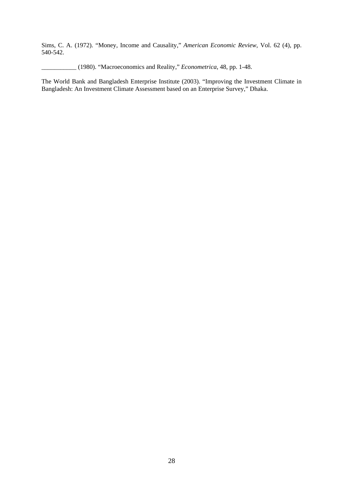Sims, C. A. (1972). "Money, Income and Causality," *American Economic Review*, Vol. 62 (4), pp. 540-542.

\_\_\_\_\_\_\_\_\_\_\_ (1980). "Macroeconomics and Reality," *Econometrica*, 48, pp. 1-48.

The World Bank and Bangladesh Enterprise Institute (2003). "Improving the Investment Climate in Bangladesh: An Investment Climate Assessment based on an Enterprise Survey," Dhaka.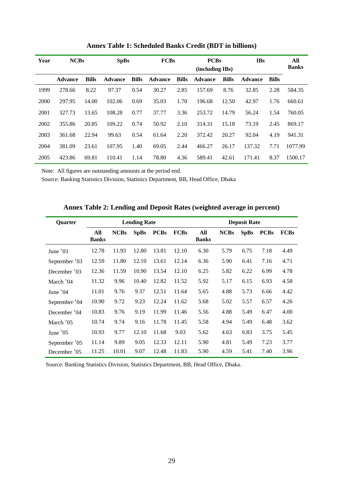| Year | <b>NCBs</b>    |              | <b>SpBs</b>    |              | <b>FCBs</b>    |              | <b>PCBs</b><br>(including IBs) |              | <b>IBs</b>     |              | All<br><b>Banks</b> |
|------|----------------|--------------|----------------|--------------|----------------|--------------|--------------------------------|--------------|----------------|--------------|---------------------|
|      | <b>Advance</b> | <b>Bills</b> | <b>Advance</b> | <b>Bills</b> | <b>Advance</b> | <b>Bills</b> | <b>Advance</b>                 | <b>Bills</b> | <b>Advance</b> | <b>Bills</b> |                     |
| 1999 | 278.66         | 8.22         | 97.37          | 0.54         | 30.27          | 2.85         | 157.69                         | 8.76         | 32.85          | 2.28         | 584.35              |
| 2000 | 297.95         | 14.00        | 102.06         | 0.69         | 35.03          | 1.70         | 196.68                         | 12.50        | 42.97          | 1.76         | 660.61              |
| 2001 | 327.73         | 13.65        | 108.28         | 0.77         | 37.77          | 3.36         | 253.72                         | 14.79        | 56.24          | 1.54         | 760.05              |
| 2002 | 355.86         | 20.85        | 109.22         | 0.74         | 50.92          | 2.10         | 314.31                         | 15.18        | 73.19          | 2.45         | 869.17              |
| 2003 | 361.68         | 22.94        | 99.63          | 0.54         | 61.64          | 2.20         | 372.42                         | 20.27        | 92.04          | 4.19         | 941.31              |
| 2004 | 381.09         | 23.61        | 107.95         | 1.40         | 69.05          | 2.44         | 466.27                         | 26.17        | 137.32         | 7.71         | 1077.99             |
| 2005 | 423.86         | 69.81        | 110.41         | 1.14         | 78.80          | 4.36         | 589.41                         | 42.61        | 171.41         | 8.37         | 1500.17             |

**Annex Table 1: Scheduled Banks Credit (BDT in billions)** 

Note: All figures are outstanding amounts at the period end.

Source: Banking Statistics Division, Statistics Department, BB, Head Office, Dhaka

| <b>Quarter</b> |                     |             | <b>Lending Rate</b> |             |             | <b>Deposit Rate</b> |             |             |             |             |  |
|----------------|---------------------|-------------|---------------------|-------------|-------------|---------------------|-------------|-------------|-------------|-------------|--|
|                | All<br><b>Banks</b> | <b>NCBs</b> | <b>SpBs</b>         | <b>PCBs</b> | <b>FCBs</b> | All<br><b>Banks</b> | <b>NCBs</b> | <b>SpBs</b> | <b>PCBs</b> | <b>FCBs</b> |  |
| June '03       | 12.78               | 11.93       | 12.80               | 13.81       | 12.10       | 6.30                | 5.79        | 6.75        | 7.18        | 4.49        |  |
| September '03  | 12.59               | 11.80       | 12.10               | 13.61       | 12.14       | 6.36                | 5.90        | 6.41        | 7.16        | 4.71        |  |
| December '03   | 12.36               | 11.59       | 10.90               | 13.54       | 12.10       | 6.25                | 5.82        | 6.22        | 6.99        | 4.78        |  |
| March '04      | 11.32               | 9.96        | 10.40               | 12.82       | 11.52       | 5.92                | 5.17        | 6.15        | 6.93        | 4.58        |  |
| June '04       | 11.01               | 9.76        | 9.37                | 12.51       | 11.64       | 5.65                | 4.88        | 5.73        | 6.66        | 4.42        |  |
| September '04  | 10.90               | 9.72        | 9.23                | 12.24       | 11.62       | 5.68                | 5.02        | 5.57        | 6.57        | 4.26        |  |
| December '04   | 10.83               | 9.76        | 9.19                | 11.99       | 11.46       | 5.56                | 4.88        | 5.49        | 6.47        | 4.00        |  |
| March '05      | 10.74               | 9.74        | 9.16                | 11.78       | 11.45       | 5.58                | 4.94        | 5.49        | 6.48        | 3.62        |  |
| June $'05$     | 10.93               | 9.77        | 12.10               | 11.68       | 9.03        | 5.62                | 4.63        | 6.83        | 3.75        | 5.45        |  |
| September '05  | 11.14               | 9.89        | 9.05                | 12.33       | 12.11       | 5.90                | 4.81        | 5.49        | 7.23        | 3.77        |  |
| December '05   | 11.25               | 10.01       | 9.07                | 12.48       | 11.83       | 5.90                | 4.59        | 5.41        | 7.40        | 3.96        |  |

**Annex Table 2: Lending and Deposit Rates (weighted average in percent)** 

Source: Banking Statistics Division, Statistics Department, BB, Head Office, Dhaka.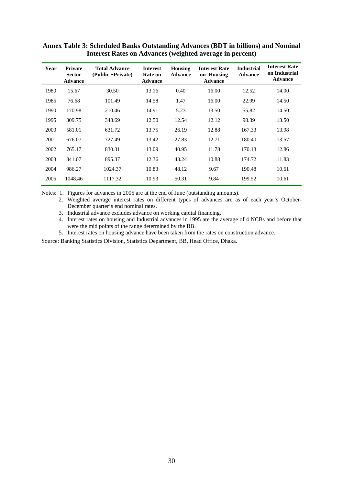| Year | <b>Private</b><br><b>Sector</b><br><b>Advance</b> | <b>Total Advance</b><br>(Public +Private) | <b>Interest</b><br>Rate on<br><b>Advance</b> | <b>Housing</b><br><b>Advance</b> | <b>Interest Rate</b><br>on Housing<br><b>Advance</b> | <b>Industrial</b><br><b>Advance</b> | <b>Interest Rate</b><br>on Industrial<br><b>Advance</b> |
|------|---------------------------------------------------|-------------------------------------------|----------------------------------------------|----------------------------------|------------------------------------------------------|-------------------------------------|---------------------------------------------------------|
| 1980 | 15.67                                             | 30.50                                     | 13.16                                        | 0.40                             | 16.00                                                | 12.52                               | 14.00                                                   |
| 1985 | 76.68                                             | 101.49                                    | 14.58                                        | 1.47                             | 16.00                                                | 22.99                               | 14.50                                                   |
| 1990 | 170.98                                            | 210.46                                    | 14.91                                        | 5.23                             | 13.50                                                | 55.82                               | 14.50                                                   |
| 1995 | 309.75                                            | 348.69                                    | 12.50                                        | 12.54                            | 12.12                                                | 98.39                               | 13.50                                                   |
| 2000 | 581.01                                            | 631.72                                    | 13.75                                        | 26.19                            | 12.88                                                | 167.33                              | 13.98                                                   |
| 2001 | 676.07                                            | 727.49                                    | 13.42                                        | 27.83                            | 12.71                                                | 180.40                              | 13.57                                                   |
| 2002 | 765.17                                            | 830.31                                    | 13.09                                        | 40.95                            | 11.78                                                | 170.13                              | 12.86                                                   |
| 2003 | 841.07                                            | 895.37                                    | 12.36                                        | 43.24                            | 10.88                                                | 174.72                              | 11.83                                                   |
| 2004 | 986.27                                            | 1024.37                                   | 10.83                                        | 48.12                            | 9.67                                                 | 190.48                              | 10.61                                                   |
| 2005 | 1048.46                                           | 1117.32                                   | 10.93                                        | 50.31                            | 9.84                                                 | 199.52                              | 10.61                                                   |

### **Annex Table 3: Scheduled Banks Outstanding Advances (BDT in billions) and Nominal Interest Rates on Advances (weighted average in percent)**

Notes: 1. Figures for advances in 2005 are at the end of June (outstanding amounts).

 2. Weighted average interest rates on different types of advances are as of each year's October-December quarter's end nominal rates.

3. Industrial advance excludes advance on working capital financing.

 4. Interest rates on housing and Industrial advances in 1995 are the average of 4 NCBs and before that were the mid points of the range determined by the BB.

5. Interest rates on housing advance have been taken from the rates on construction advance.

Source: Banking Statistics Division, Statistics Department, BB, Head Office, Dhaka.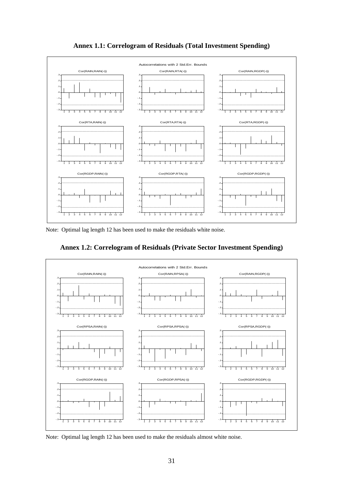

**Annex 1.1: Correlogram of Residuals (Total Investment Spending)** 

Note: Optimal lag length 12 has been used to make the residuals white noise.





Note: Optimal lag length 12 has been used to make the residuals almost white noise.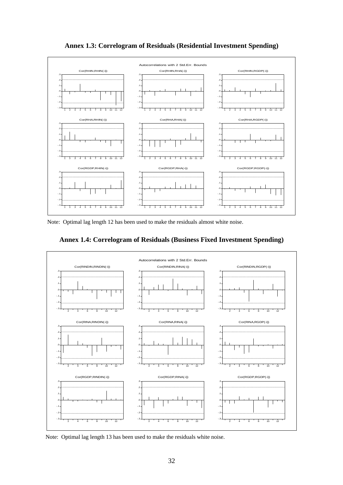

**Annex 1.3: Correlogram of Residuals (Residential Investment Spending)** 

Note: Optimal lag length 12 has been used to make the residuals almost white noise.

**Annex 1.4: Correlogram of Residuals (Business Fixed Investment Spending)** 



Note: Optimal lag length 13 has been used to make the residuals white noise.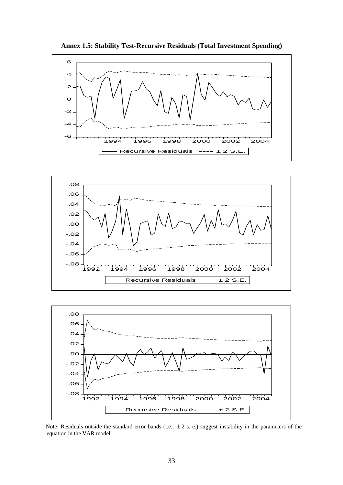

**Annex 1.5: Stability Test-Recursive Residuals (Total Investment Spending)** 





Note: Residuals outside the standard error bands (i.e.,  $\pm 2$  s. e.) suggest instability in the parameters of the equation in the VAR model.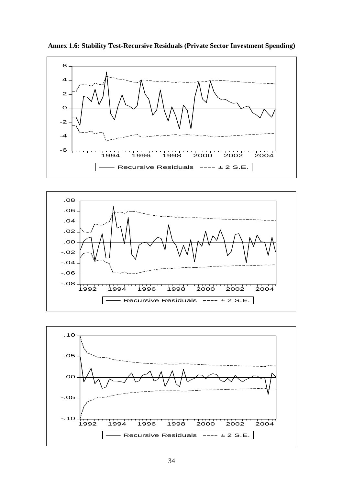

**Annex 1.6: Stability Test-Recursive Residuals (Private Sector Investment Spending)** 



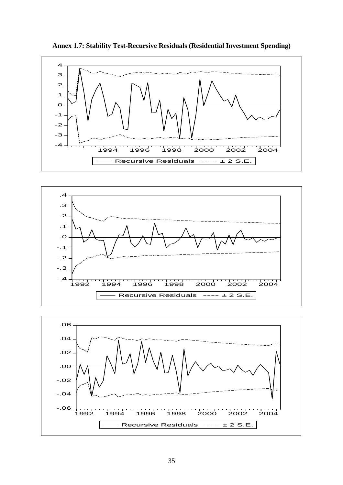

**Annex 1.7: Stability Test-Recursive Residuals (Residential Investment Spending)**